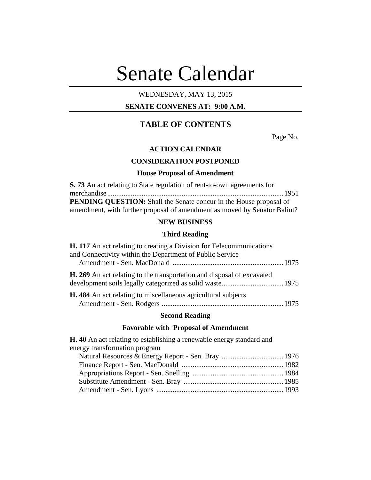# Senate Calendar

# WEDNESDAY, MAY 13, 2015

# **SENATE CONVENES AT: 9:00 A.M.**

# **TABLE OF CONTENTS**

Page No.

## **ACTION CALENDAR**

## **CONSIDERATION POSTPONED**

#### **House Proposal of Amendment**

| <b>S. 73</b> An act relating to State regulation of rent-to-own agreements for |  |
|--------------------------------------------------------------------------------|--|
|                                                                                |  |
| <b>PENDING QUESTION:</b> Shall the Senate concur in the House proposal of      |  |
| amendment, with further proposal of amendment as moved by Senator Balint?      |  |

# **NEW BUSINESS**

# **Third Reading**

| <b>H. 117</b> An act relating to creating a Division for Telecommunications   |  |
|-------------------------------------------------------------------------------|--|
| and Connectivity within the Department of Public Service                      |  |
| <b>H. 269</b> An act relating to the transportation and disposal of excavated |  |
| <b>H.</b> 484 An act relating to miscellaneous agricultural subjects          |  |
|                                                                               |  |

#### **Second Reading**

# **Favorable with Proposal of Amendment**

**H. 40** An act relating to establishing a renewable energy standard and energy transformation program Natural Resources & Energy Report - Sen. Bray ..................................1976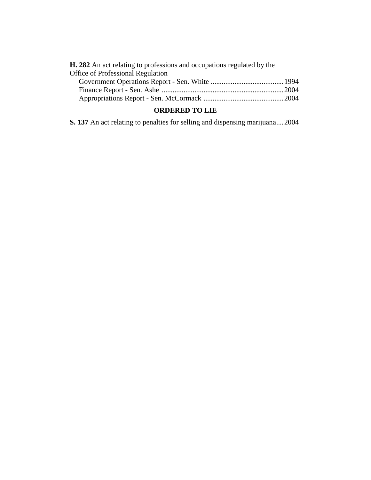| <b>H. 282</b> An act relating to professions and occupations regulated by the |  |
|-------------------------------------------------------------------------------|--|
| <b>Office of Professional Regulation</b>                                      |  |
|                                                                               |  |
|                                                                               |  |
|                                                                               |  |

# **ORDERED TO LIE**

**S. 137** An act relating to penalties for selling and dispensing marijuana....2004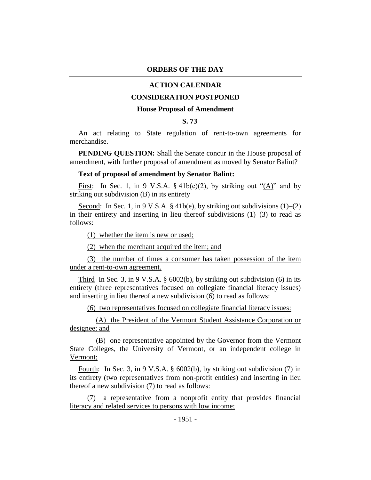#### **ORDERS OF THE DAY**

#### **ACTION CALENDAR**

#### **CONSIDERATION POSTPONED**

#### **House Proposal of Amendment**

## **S. 73**

An act relating to State regulation of rent-to-own agreements for merchandise.

**PENDING QUESTION:** Shall the Senate concur in the House proposal of amendment, with further proposal of amendment as moved by Senator Balint?

#### **Text of proposal of amendment by Senator Balint:**

First: In Sec. 1, in 9 V.S.A. § 41b(c)(2), by striking out " $(A)$ " and by striking out subdivision (B) in its entirety

Second: In Sec. 1, in 9 V.S.A. § 41b(e), by striking out subdivisions  $(1)$ – $(2)$ in their entirety and inserting in lieu thereof subdivisions (1)–(3) to read as follows:

(1) whether the item is new or used;

(2) when the merchant acquired the item; and

(3) the number of times a consumer has taken possession of the item under a rent-to-own agreement.

Third In Sec. 3, in 9 V.S.A.  $\S$  6002(b), by striking out subdivision (6) in its entirety (three representatives focused on collegiate financial literacy issues) and inserting in lieu thereof a new subdivision (6) to read as follows:

(6) two representatives focused on collegiate financial literacy issues:

(A) the President of the Vermont Student Assistance Corporation or designee; and

(B) one representative appointed by the Governor from the Vermont State Colleges, the University of Vermont, or an independent college in Vermont;

Fourth: In Sec. 3, in 9 V.S.A. § 6002(b), by striking out subdivision (7) in its entirety (two representatives from non-profit entities) and inserting in lieu thereof a new subdivision (7) to read as follows:

(7) a representative from a nonprofit entity that provides financial literacy and related services to persons with low income;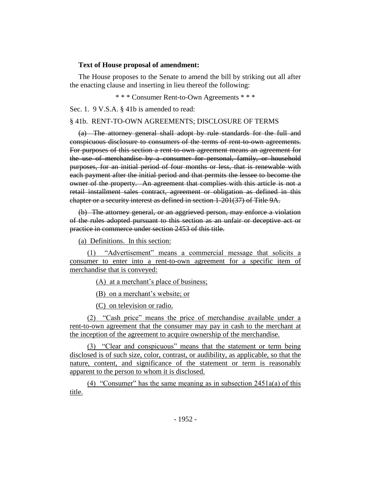#### **Text of House proposal of amendment:**

The House proposes to the Senate to amend the bill by striking out all after the enacting clause and inserting in lieu thereof the following:

\* \* \* Consumer Rent-to-Own Agreements \* \* \*

Sec. 1. 9 V.S.A. § 41b is amended to read:

## § 41b. RENT-TO-OWN AGREEMENTS; DISCLOSURE OF TERMS

(a) The attorney general shall adopt by rule standards for the full and conspicuous disclosure to consumers of the terms of rent-to-own agreements. For purposes of this section a rent-to-own agreement means an agreement for the use of merchandise by a consumer for personal, family, or household purposes, for an initial period of four months or less, that is renewable with each payment after the initial period and that permits the lessee to become the owner of the property. An agreement that complies with this article is not a retail installment sales contract, agreement or obligation as defined in this chapter or a security interest as defined in section 1-201(37) of Title 9A.

(b) The attorney general, or an aggrieved person, may enforce a violation of the rules adopted pursuant to this section as an unfair or deceptive act or practice in commerce under section 2453 of this title.

(a) Definitions. In this section:

(1) "Advertisement" means a commercial message that solicits a consumer to enter into a rent-to-own agreement for a specific item of merchandise that is conveyed:

(A) at a merchant's place of business;

(B) on a merchant's website; or

(C) on television or radio.

(2) "Cash price" means the price of merchandise available under a rent-to-own agreement that the consumer may pay in cash to the merchant at the inception of the agreement to acquire ownership of the merchandise.

(3) "Clear and conspicuous" means that the statement or term being disclosed is of such size, color, contrast, or audibility, as applicable, so that the nature, content, and significance of the statement or term is reasonably apparent to the person to whom it is disclosed.

(4) "Consumer" has the same meaning as in subsection 2451a(a) of this title.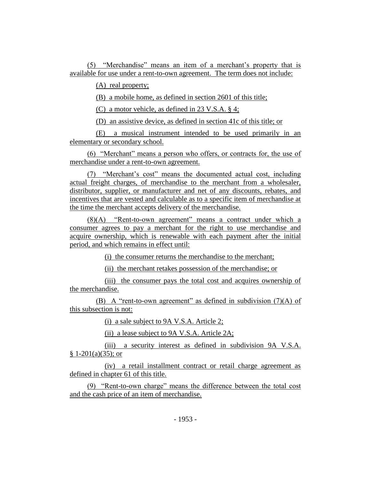(5) "Merchandise" means an item of a merchant's property that is available for use under a rent-to-own agreement. The term does not include:

(A) real property;

(B) a mobile home, as defined in section 2601 of this title;

(C) a motor vehicle, as defined in 23 V.S.A. § 4;

(D) an assistive device, as defined in section 41c of this title; or

(E) a musical instrument intended to be used primarily in an elementary or secondary school.

(6) "Merchant" means a person who offers, or contracts for, the use of merchandise under a rent-to-own agreement.

(7) "Merchant's cost" means the documented actual cost, including actual freight charges, of merchandise to the merchant from a wholesaler, distributor, supplier, or manufacturer and net of any discounts, rebates, and incentives that are vested and calculable as to a specific item of merchandise at the time the merchant accepts delivery of the merchandise.

(8)(A) "Rent-to-own agreement" means a contract under which a consumer agrees to pay a merchant for the right to use merchandise and acquire ownership, which is renewable with each payment after the initial period, and which remains in effect until:

(i) the consumer returns the merchandise to the merchant;

(ii) the merchant retakes possession of the merchandise; or

(iii) the consumer pays the total cost and acquires ownership of the merchandise.

(B) A "rent-to-own agreement" as defined in subdivision  $(7)(A)$  of this subsection is not:

(i) a sale subject to 9A V.S.A. Article 2;

(ii) a lease subject to 9A V.S.A. Article 2A;

(iii) a security interest as defined in subdivision 9A V.S.A.  $§ 1-201(a)(35);$  or

(iv) a retail installment contract or retail charge agreement as defined in chapter 61 of this title.

(9) "Rent-to-own charge" means the difference between the total cost and the cash price of an item of merchandise.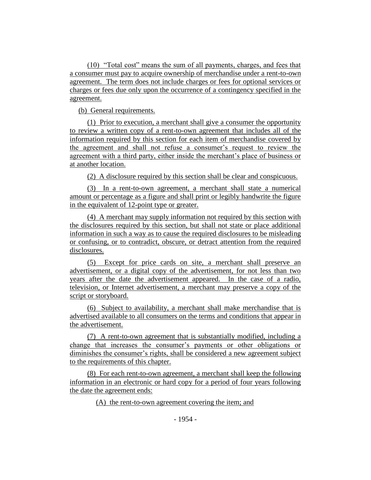(10) "Total cost" means the sum of all payments, charges, and fees that a consumer must pay to acquire ownership of merchandise under a rent-to-own agreement. The term does not include charges or fees for optional services or charges or fees due only upon the occurrence of a contingency specified in the agreement.

(b) General requirements.

(1) Prior to execution, a merchant shall give a consumer the opportunity to review a written copy of a rent-to-own agreement that includes all of the information required by this section for each item of merchandise covered by the agreement and shall not refuse a consumer's request to review the agreement with a third party, either inside the merchant's place of business or at another location.

(2) A disclosure required by this section shall be clear and conspicuous.

(3) In a rent-to-own agreement, a merchant shall state a numerical amount or percentage as a figure and shall print or legibly handwrite the figure in the equivalent of 12-point type or greater.

(4) A merchant may supply information not required by this section with the disclosures required by this section, but shall not state or place additional information in such a way as to cause the required disclosures to be misleading or confusing, or to contradict, obscure, or detract attention from the required disclosures.

(5) Except for price cards on site, a merchant shall preserve an advertisement, or a digital copy of the advertisement, for not less than two years after the date the advertisement appeared. In the case of a radio, television, or Internet advertisement, a merchant may preserve a copy of the script or storyboard.

(6) Subject to availability, a merchant shall make merchandise that is advertised available to all consumers on the terms and conditions that appear in the advertisement.

(7) A rent-to-own agreement that is substantially modified, including a change that increases the consumer's payments or other obligations or diminishes the consumer's rights, shall be considered a new agreement subject to the requirements of this chapter.

(8) For each rent-to-own agreement, a merchant shall keep the following information in an electronic or hard copy for a period of four years following the date the agreement ends:

(A) the rent-to-own agreement covering the item; and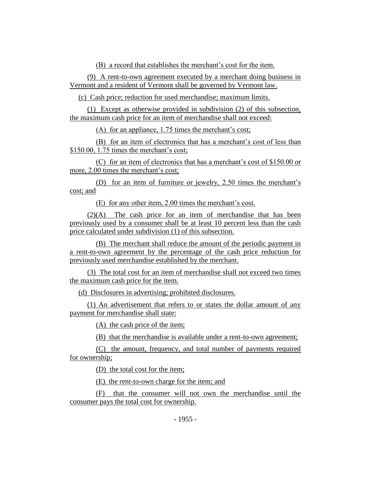(B) a record that establishes the merchant's cost for the item.

(9) A rent-to-own agreement executed by a merchant doing business in Vermont and a resident of Vermont shall be governed by Vermont law.

(c) Cash price; reduction for used merchandise; maximum limits.

(1) Except as otherwise provided in subdivision (2) of this subsection, the maximum cash price for an item of merchandise shall not exceed:

(A) for an appliance, 1.75 times the merchant's cost;

(B) for an item of electronics that has a merchant's cost of less than \$150.00, 1.75 times the merchant's cost;

(C) for an item of electronics that has a merchant's cost of \$150.00 or more, 2.00 times the merchant's cost;

(D) for an item of furniture or jewelry, 2.50 times the merchant's cost; and

(E) for any other item, 2.00 times the merchant's cost.

(2)(A) The cash price for an item of merchandise that has been previously used by a consumer shall be at least 10 percent less than the cash price calculated under subdivision (1) of this subsection.

(B) The merchant shall reduce the amount of the periodic payment in a rent-to-own agreement by the percentage of the cash price reduction for previously used merchandise established by the merchant.

(3) The total cost for an item of merchandise shall not exceed two times the maximum cash price for the item.

(d) Disclosures in advertising; prohibited disclosures.

(1) An advertisement that refers to or states the dollar amount of any payment for merchandise shall state:

(A) the cash price of the item;

(B) that the merchandise is available under a rent-to-own agreement;

(C) the amount, frequency, and total number of payments required for ownership;

(D) the total cost for the item;

(E) the rent-to-own charge for the item; and

(F) that the consumer will not own the merchandise until the consumer pays the total cost for ownership.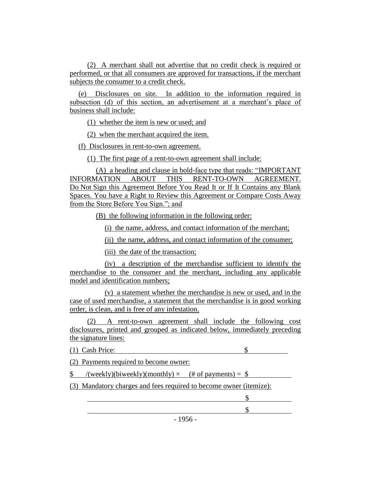(2) A merchant shall not advertise that no credit check is required or performed, or that all consumers are approved for transactions, if the merchant subjects the consumer to a credit check.

(e) Disclosures on site. In addition to the information required in subsection (d) of this section, an advertisement at a merchant's place of business shall include:

(1) whether the item is new or used; and

(2) when the merchant acquired the item.

(f) Disclosures in rent-to-own agreement.

(1) The first page of a rent-to-own agreement shall include:

(A) a heading and clause in bold-face type that reads: "IMPORTANT INFORMATION ABOUT THIS RENT-TO-OWN AGREEMENT. Do Not Sign this Agreement Before You Read It or If It Contains any Blank Spaces. You have a Right to Review this Agreement or Compare Costs Away from the Store Before You Sign."; and

(B) the following information in the following order:

(i) the name, address, and contact information of the merchant;

(ii) the name, address, and contact information of the consumer;

(iii) the date of the transaction;

(iv) a description of the merchandise sufficient to identify the merchandise to the consumer and the merchant, including any applicable model and identification numbers;

(v) a statement whether the merchandise is new or used, and in the case of used merchandise, a statement that the merchandise is in good working order, is clean, and is free of any infestation.

(2) A rent-to-own agreement shall include the following cost disclosures, printed and grouped as indicated below, immediately preceding the signature lines:

(1) Cash Price: \$

(2) Payments required to become owner:

 $\text{\$}$  /(weekly)(biweekly)(monthly)  $\times$  (# of payments) =  $\text{\$}$ 

(3) Mandatory charges and fees required to become owner (itemize):

 $$$ \$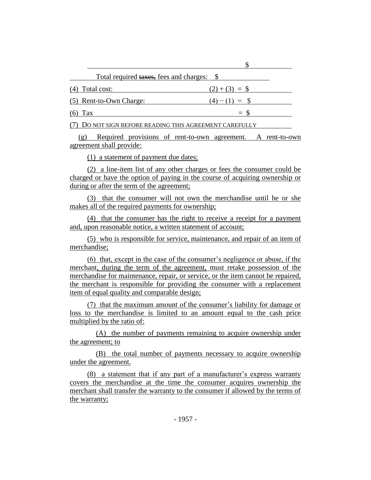| Total required taxes, fees and charges: \$             |                  |
|--------------------------------------------------------|------------------|
| (4) Total cost:                                        | $(2)+(3) =$ \$   |
| (5) Rent-to-Own Charge:                                | $(4) - (1) =$ \$ |
| $(6)$ Tax                                              | $=$ S            |
| 7) DO NOT SIGN BEFORE READING THIS AGREEMENT CAREFULLY |                  |

 $\ddot{\phi}$ 

(g) Required provisions of rent-to-own agreement. A rent-to-own agreement shall provide:

(1) a statement of payment due dates;

(2) a line-item list of any other charges or fees the consumer could be charged or have the option of paying in the course of acquiring ownership or during or after the term of the agreement;

(3) that the consumer will not own the merchandise until he or she makes all of the required payments for ownership;

(4) that the consumer has the right to receive a receipt for a payment and, upon reasonable notice, a written statement of account;

(5) who is responsible for service, maintenance, and repair of an item of merchandise;

(6) that, except in the case of the consumer's negligence or abuse, if the merchant, during the term of the agreement, must retake possession of the merchandise for maintenance, repair, or service, or the item cannot be repaired, the merchant is responsible for providing the consumer with a replacement item of equal quality and comparable design;

(7) that the maximum amount of the consumer's liability for damage or loss to the merchandise is limited to an amount equal to the cash price multiplied by the ratio of:

(A) the number of payments remaining to acquire ownership under the agreement; to

(B) the total number of payments necessary to acquire ownership under the agreement.

(8) a statement that if any part of a manufacturer's express warranty covers the merchandise at the time the consumer acquires ownership the merchant shall transfer the warranty to the consumer if allowed by the terms of the warranty;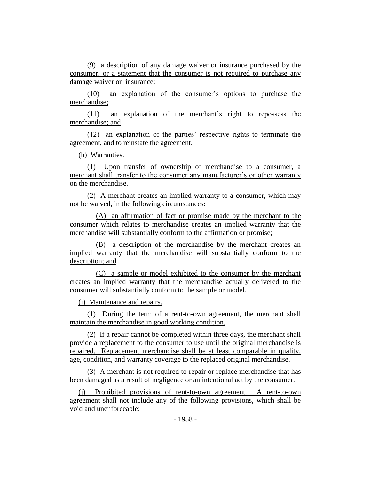(9) a description of any damage waiver or insurance purchased by the consumer, or a statement that the consumer is not required to purchase any damage waiver or insurance;

(10) an explanation of the consumer's options to purchase the merchandise;

(11) an explanation of the merchant's right to repossess the merchandise; and

(12) an explanation of the parties' respective rights to terminate the agreement, and to reinstate the agreement.

(h) Warranties.

(1) Upon transfer of ownership of merchandise to a consumer, a merchant shall transfer to the consumer any manufacturer's or other warranty on the merchandise.

(2) A merchant creates an implied warranty to a consumer, which may not be waived, in the following circumstances:

(A) an affirmation of fact or promise made by the merchant to the consumer which relates to merchandise creates an implied warranty that the merchandise will substantially conform to the affirmation or promise;

(B) a description of the merchandise by the merchant creates an implied warranty that the merchandise will substantially conform to the description; and

(C) a sample or model exhibited to the consumer by the merchant creates an implied warranty that the merchandise actually delivered to the consumer will substantially conform to the sample or model.

(i) Maintenance and repairs.

(1) During the term of a rent-to-own agreement, the merchant shall maintain the merchandise in good working condition.

(2) If a repair cannot be completed within three days, the merchant shall provide a replacement to the consumer to use until the original merchandise is repaired. Replacement merchandise shall be at least comparable in quality, age, condition, and warranty coverage to the replaced original merchandise.

(3) A merchant is not required to repair or replace merchandise that has been damaged as a result of negligence or an intentional act by the consumer.

(j) Prohibited provisions of rent-to-own agreement. A rent-to-own agreement shall not include any of the following provisions, which shall be void and unenforceable: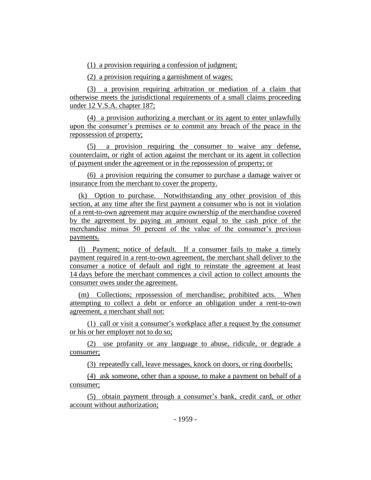(1) a provision requiring a confession of judgment;

(2) a provision requiring a garnishment of wages;

(3) a provision requiring arbitration or mediation of a claim that otherwise meets the jurisdictional requirements of a small claims proceeding under 12 V.S.A. chapter 187;

(4) a provision authorizing a merchant or its agent to enter unlawfully upon the consumer's premises or to commit any breach of the peace in the repossession of property;

(5) a provision requiring the consumer to waive any defense, counterclaim, or right of action against the merchant or its agent in collection of payment under the agreement or in the repossession of property; or

(6) a provision requiring the consumer to purchase a damage waiver or insurance from the merchant to cover the property.

(k) Option to purchase. Notwithstanding any other provision of this section, at any time after the first payment a consumer who is not in violation of a rent-to-own agreement may acquire ownership of the merchandise covered by the agreement by paying an amount equal to the cash price of the merchandise minus 50 percent of the value of the consumer's previous payments.

(l) Payment; notice of default. If a consumer fails to make a timely payment required in a rent-to-own agreement, the merchant shall deliver to the consumer a notice of default and right to reinstate the agreement at least 14 days before the merchant commences a civil action to collect amounts the consumer owes under the agreement.

(m) Collections; repossession of merchandise; prohibited acts. When attempting to collect a debt or enforce an obligation under a rent-to-own agreement, a merchant shall not:

(1) call or visit a consumer's workplace after a request by the consumer or his or her employer not to do so;

(2) use profanity or any language to abuse, ridicule, or degrade a consumer;

(3) repeatedly call, leave messages, knock on doors, or ring doorbells;

(4) ask someone, other than a spouse, to make a payment on behalf of a consumer;

(5) obtain payment through a consumer's bank, credit card, or other account without authorization;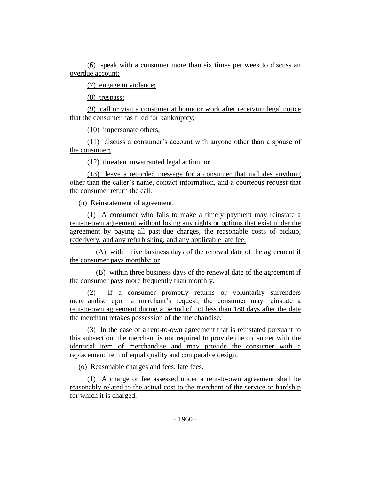(6) speak with a consumer more than six times per week to discuss an overdue account;

(7) engage in violence;

(8) trespass;

(9) call or visit a consumer at home or work after receiving legal notice that the consumer has filed for bankruptcy;

(10) impersonate others;

(11) discuss a consumer's account with anyone other than a spouse of the consumer;

(12) threaten unwarranted legal action; or

(13) leave a recorded message for a consumer that includes anything other than the caller's name, contact information, and a courteous request that the consumer return the call.

(n) Reinstatement of agreement.

(1) A consumer who fails to make a timely payment may reinstate a rent-to-own agreement without losing any rights or options that exist under the agreement by paying all past-due charges, the reasonable costs of pickup, redelivery, and any refurbishing, and any applicable late fee:

(A) within five business days of the renewal date of the agreement if the consumer pays monthly; or

(B) within three business days of the renewal date of the agreement if the consumer pays more frequently than monthly.

(2) If a consumer promptly returns or voluntarily surrenders merchandise upon a merchant's request, the consumer may reinstate a rent-to-own agreement during a period of not less than 180 days after the date the merchant retakes possession of the merchandise.

(3) In the case of a rent-to-own agreement that is reinstated pursuant to this subsection, the merchant is not required to provide the consumer with the identical item of merchandise and may provide the consumer with a replacement item of equal quality and comparable design.

(o) Reasonable charges and fees; late fees.

(1) A charge or fee assessed under a rent-to-own agreement shall be reasonably related to the actual cost to the merchant of the service or hardship for which it is charged.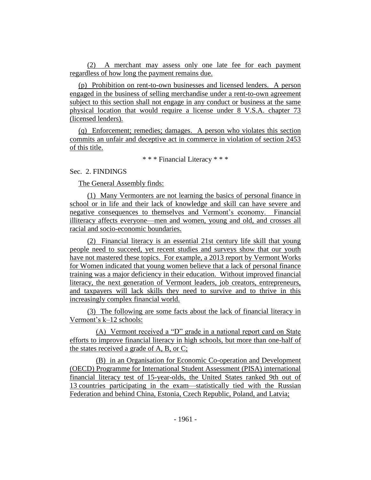(2) A merchant may assess only one late fee for each payment regardless of how long the payment remains due.

(p) Prohibition on rent-to-own businesses and licensed lenders. A person engaged in the business of selling merchandise under a rent-to-own agreement subject to this section shall not engage in any conduct or business at the same physical location that would require a license under 8 V.S.A. chapter 73 (licensed lenders).

(q) Enforcement; remedies; damages. A person who violates this section commits an unfair and deceptive act in commerce in violation of section 2453 of this title.

\* \* \* Financial Literacy \* \* \*

# Sec. 2. FINDINGS

The General Assembly finds:

(1) Many Vermonters are not learning the basics of personal finance in school or in life and their lack of knowledge and skill can have severe and negative consequences to themselves and Vermont's economy. Financial illiteracy affects everyone—men and women, young and old, and crosses all racial and socio-economic boundaries.

(2) Financial literacy is an essential 21st century life skill that young people need to succeed, yet recent studies and surveys show that our youth have not mastered these topics. For example, a 2013 report by Vermont Works for Women indicated that young women believe that a lack of personal finance training was a major deficiency in their education. Without improved financial literacy, the next generation of Vermont leaders, job creators, entrepreneurs, and taxpayers will lack skills they need to survive and to thrive in this increasingly complex financial world.

(3) The following are some facts about the lack of financial literacy in Vermont's k–12 schools:

(A) Vermont received a "D" grade in a national report card on State efforts to improve financial literacy in high schools, but more than one-half of the states received a grade of A, B, or C;

(B) in an Organisation for Economic Co-operation and Development (OECD) Programme for International Student Assessment (PISA) international financial literacy test of 15-year-olds, the United States ranked 9th out of 13 countries participating in the exam—statistically tied with the Russian Federation and behind China, Estonia, Czech Republic, Poland, and Latvia;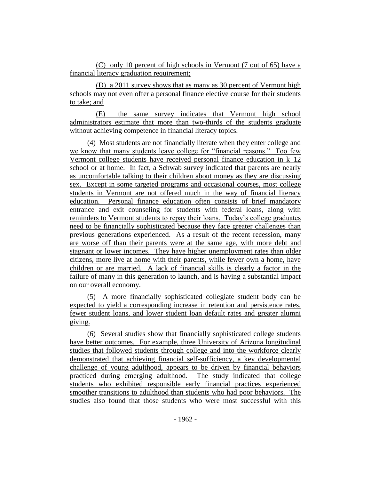(C) only 10 percent of high schools in Vermont (7 out of 65) have a financial literacy graduation requirement;

(D) a 2011 survey shows that as many as 30 percent of Vermont high schools may not even offer a personal finance elective course for their students to take; and

(E) the same survey indicates that Vermont high school administrators estimate that more than two-thirds of the students graduate without achieving competence in financial literacy topics.

(4) Most students are not financially literate when they enter college and we know that many students leave college for "financial reasons." Too few Vermont college students have received personal finance education in k–12 school or at home. In fact, a Schwab survey indicated that parents are nearly as uncomfortable talking to their children about money as they are discussing sex. Except in some targeted programs and occasional courses, most college students in Vermont are not offered much in the way of financial literacy education. Personal finance education often consists of brief mandatory entrance and exit counseling for students with federal loans, along with reminders to Vermont students to repay their loans. Today's college graduates need to be financially sophisticated because they face greater challenges than previous generations experienced. As a result of the recent recession, many are worse off than their parents were at the same age, with more debt and stagnant or lower incomes. They have higher unemployment rates than older citizens, more live at home with their parents, while fewer own a home, have children or are married. A lack of financial skills is clearly a factor in the failure of many in this generation to launch, and is having a substantial impact on our overall economy.

(5) A more financially sophisticated collegiate student body can be expected to yield a corresponding increase in retention and persistence rates, fewer student loans, and lower student loan default rates and greater alumni giving.

(6) Several studies show that financially sophisticated college students have better outcomes. For example, three University of Arizona longitudinal studies that followed students through college and into the workforce clearly demonstrated that achieving financial self-sufficiency, a key developmental challenge of young adulthood, appears to be driven by financial behaviors practiced during emerging adulthood. The study indicated that college students who exhibited responsible early financial practices experienced smoother transitions to adulthood than students who had poor behaviors. The studies also found that those students who were most successful with this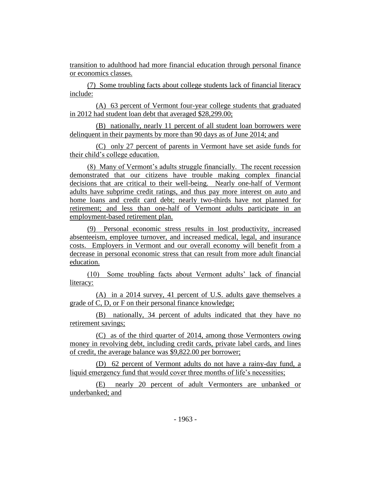transition to adulthood had more financial education through personal finance or economics classes.

(7) Some troubling facts about college students lack of financial literacy include:

(A) 63 percent of Vermont four-year college students that graduated in 2012 had student loan debt that averaged \$28,299.00;

(B) nationally, nearly 11 percent of all student loan borrowers were delinquent in their payments by more than 90 days as of June 2014; and

(C) only 27 percent of parents in Vermont have set aside funds for their child's college education.

(8) Many of Vermont's adults struggle financially. The recent recession demonstrated that our citizens have trouble making complex financial decisions that are critical to their well-being. Nearly one-half of Vermont adults have subprime credit ratings, and thus pay more interest on auto and home loans and credit card debt; nearly two-thirds have not planned for retirement; and less than one-half of Vermont adults participate in an employment-based retirement plan.

(9) Personal economic stress results in lost productivity, increased absenteeism, employee turnover, and increased medical, legal, and insurance costs. Employers in Vermont and our overall economy will benefit from a decrease in personal economic stress that can result from more adult financial education.

(10) Some troubling facts about Vermont adults' lack of financial literacy:

(A) in a 2014 survey, 41 percent of U.S. adults gave themselves a grade of C, D, or F on their personal finance knowledge;

(B) nationally, 34 percent of adults indicated that they have no retirement savings;

(C) as of the third quarter of 2014, among those Vermonters owing money in revolving debt, including credit cards, private label cards, and lines of credit, the average balance was \$9,822.00 per borrower;

(D) 62 percent of Vermont adults do not have a rainy-day fund, a liquid emergency fund that would cover three months of life's necessities;

(E) nearly 20 percent of adult Vermonters are unbanked or underbanked; and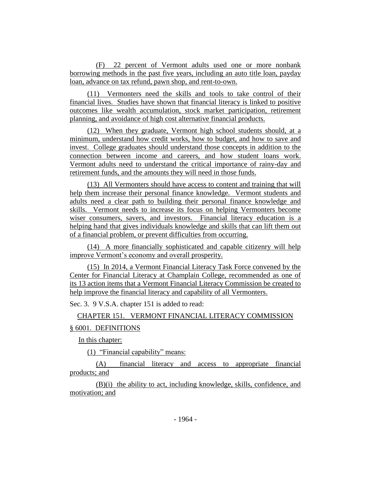(F) 22 percent of Vermont adults used one or more nonbank borrowing methods in the past five years, including an auto title loan, payday loan, advance on tax refund, pawn shop, and rent-to-own.

(11) Vermonters need the skills and tools to take control of their financial lives. Studies have shown that financial literacy is linked to positive outcomes like wealth accumulation, stock market participation, retirement planning, and avoidance of high cost alternative financial products.

(12) When they graduate, Vermont high school students should, at a minimum, understand how credit works, how to budget, and how to save and invest. College graduates should understand those concepts in addition to the connection between income and careers, and how student loans work. Vermont adults need to understand the critical importance of rainy-day and retirement funds, and the amounts they will need in those funds.

(13) All Vermonters should have access to content and training that will help them increase their personal finance knowledge. Vermont students and adults need a clear path to building their personal finance knowledge and skills. Vermont needs to increase its focus on helping Vermonters become wiser consumers, savers, and investors. Financial literacy education is a helping hand that gives individuals knowledge and skills that can lift them out of a financial problem, or prevent difficulties from occurring.

(14) A more financially sophisticated and capable citizenry will help improve Vermont's economy and overall prosperity.

(15) In 2014, a Vermont Financial Literacy Task Force convened by the Center for Financial Literacy at Champlain College, recommended as one of its 13 action items that a Vermont Financial Literacy Commission be created to help improve the financial literacy and capability of all Vermonters.

Sec. 3. 9 V.S.A. chapter 151 is added to read:

CHAPTER 151. VERMONT FINANCIAL LITERACY COMMISSION § 6001. DEFINITIONS

In this chapter:

(1) "Financial capability" means:

(A) financial literacy and access to appropriate financial products; and

(B)(i) the ability to act, including knowledge, skills, confidence, and motivation; and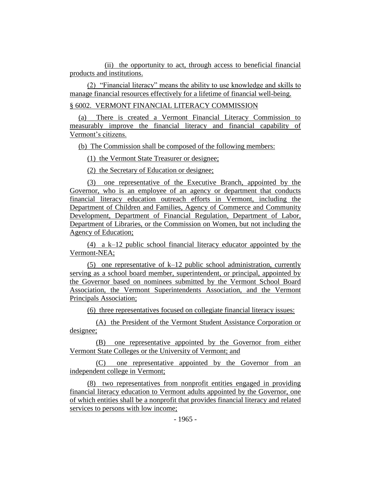(ii) the opportunity to act, through access to beneficial financial products and institutions.

(2) "Financial literacy" means the ability to use knowledge and skills to manage financial resources effectively for a lifetime of financial well-being.

## § 6002. VERMONT FINANCIAL LITERACY COMMISSION

(a) There is created a Vermont Financial Literacy Commission to measurably improve the financial literacy and financial capability of Vermont's citizens.

(b) The Commission shall be composed of the following members:

(1) the Vermont State Treasurer or designee;

(2) the Secretary of Education or designee;

(3) one representative of the Executive Branch, appointed by the Governor, who is an employee of an agency or department that conducts financial literacy education outreach efforts in Vermont, including the Department of Children and Families, Agency of Commerce and Community Development, Department of Financial Regulation, Department of Labor, Department of Libraries, or the Commission on Women, but not including the Agency of Education;

(4) a k–12 public school financial literacy educator appointed by the Vermont-NEA;

(5) one representative of k–12 public school administration, currently serving as a school board member, superintendent, or principal, appointed by the Governor based on nominees submitted by the Vermont School Board Association, the Vermont Superintendents Association, and the Vermont Principals Association;

(6) three representatives focused on collegiate financial literacy issues:

(A) the President of the Vermont Student Assistance Corporation or designee;

(B) one representative appointed by the Governor from either Vermont State Colleges or the University of Vermont; and

(C) one representative appointed by the Governor from an independent college in Vermont;

(8) two representatives from nonprofit entities engaged in providing financial literacy education to Vermont adults appointed by the Governor, one of which entities shall be a nonprofit that provides financial literacy and related services to persons with low income;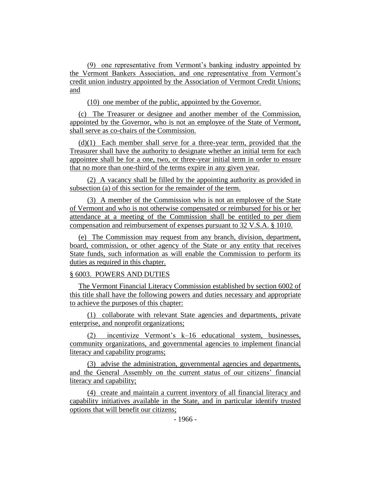(9) one representative from Vermont's banking industry appointed by the Vermont Bankers Association, and one representative from Vermont's credit union industry appointed by the Association of Vermont Credit Unions; and

(10) one member of the public, appointed by the Governor.

(c) The Treasurer or designee and another member of the Commission, appointed by the Governor, who is not an employee of the State of Vermont, shall serve as co-chairs of the Commission.

 $(d)(1)$  Each member shall serve for a three-year term, provided that the Treasurer shall have the authority to designate whether an initial term for each appointee shall be for a one, two, or three-year initial term in order to ensure that no more than one-third of the terms expire in any given year.

(2) A vacancy shall be filled by the appointing authority as provided in subsection (a) of this section for the remainder of the term.

(3) A member of the Commission who is not an employee of the State of Vermont and who is not otherwise compensated or reimbursed for his or her attendance at a meeting of the Commission shall be entitled to per diem compensation and reimbursement of expenses pursuant to 32 V.S.A. § 1010.

(e) The Commission may request from any branch, division, department, board, commission, or other agency of the State or any entity that receives State funds, such information as will enable the Commission to perform its duties as required in this chapter.

# § 6003. POWERS AND DUTIES

The Vermont Financial Literacy Commission established by section 6002 of this title shall have the following powers and duties necessary and appropriate to achieve the purposes of this chapter:

(1) collaborate with relevant State agencies and departments, private enterprise, and nonprofit organizations;

(2) incentivize Vermont's k–16 educational system, businesses, community organizations, and governmental agencies to implement financial literacy and capability programs;

(3) advise the administration, governmental agencies and departments, and the General Assembly on the current status of our citizens' financial literacy and capability;

(4) create and maintain a current inventory of all financial literacy and capability initiatives available in the State, and in particular identify trusted options that will benefit our citizens;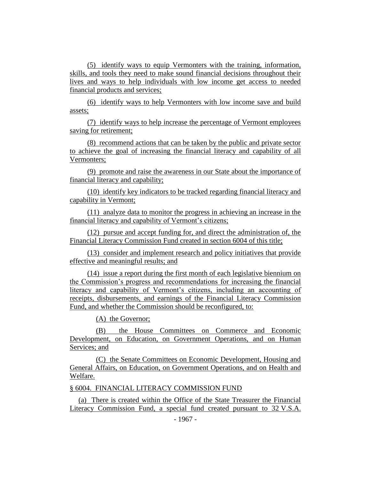(5) identify ways to equip Vermonters with the training, information, skills, and tools they need to make sound financial decisions throughout their lives and ways to help individuals with low income get access to needed financial products and services;

(6) identify ways to help Vermonters with low income save and build assets;

(7) identify ways to help increase the percentage of Vermont employees saving for retirement;

(8) recommend actions that can be taken by the public and private sector to achieve the goal of increasing the financial literacy and capability of all Vermonters;

(9) promote and raise the awareness in our State about the importance of financial literacy and capability;

(10) identify key indicators to be tracked regarding financial literacy and capability in Vermont;

(11) analyze data to monitor the progress in achieving an increase in the financial literacy and capability of Vermont's citizens;

(12) pursue and accept funding for, and direct the administration of, the Financial Literacy Commission Fund created in section 6004 of this title;

(13) consider and implement research and policy initiatives that provide effective and meaningful results; and

(14) issue a report during the first month of each legislative biennium on the Commission's progress and recommendations for increasing the financial literacy and capability of Vermont's citizens, including an accounting of receipts, disbursements, and earnings of the Financial Literacy Commission Fund, and whether the Commission should be reconfigured, to:

(A) the Governor;

(B) the House Committees on Commerce and Economic Development, on Education, on Government Operations, and on Human Services; and

(C) the Senate Committees on Economic Development, Housing and General Affairs, on Education, on Government Operations, and on Health and Welfare.

§ 6004. FINANCIAL LITERACY COMMISSION FUND

(a) There is created within the Office of the State Treasurer the Financial Literacy Commission Fund, a special fund created pursuant to 32 V.S.A.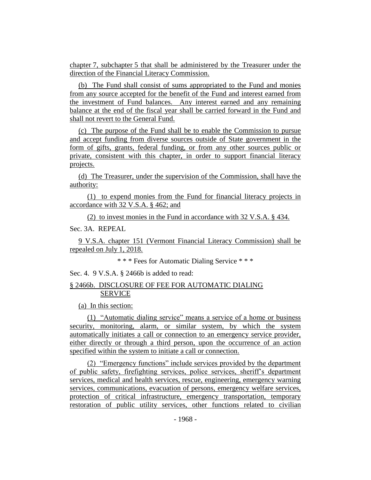chapter 7, subchapter 5 that shall be administered by the Treasurer under the direction of the Financial Literacy Commission.

(b) The Fund shall consist of sums appropriated to the Fund and monies from any source accepted for the benefit of the Fund and interest earned from the investment of Fund balances. Any interest earned and any remaining balance at the end of the fiscal year shall be carried forward in the Fund and shall not revert to the General Fund.

(c) The purpose of the Fund shall be to enable the Commission to pursue and accept funding from diverse sources outside of State government in the form of gifts, grants, federal funding, or from any other sources public or private, consistent with this chapter, in order to support financial literacy projects.

(d) The Treasurer, under the supervision of the Commission, shall have the authority:

(1) to expend monies from the Fund for financial literacy projects in accordance with 32 V.S.A. § 462; and

(2) to invest monies in the Fund in accordance with 32 V.S.A. § 434.

Sec. 3A. REPEAL

9 V.S.A. chapter 151 (Vermont Financial Literacy Commission) shall be repealed on July 1, 2018.

\* \* \* Fees for Automatic Dialing Service \* \* \*

Sec. 4. 9 V.S.A. § 2466b is added to read:

# § 2466b. DISCLOSURE OF FEE FOR AUTOMATIC DIALING SERVICE

(a) In this section:

(1) "Automatic dialing service" means a service of a home or business security, monitoring, alarm, or similar system, by which the system automatically initiates a call or connection to an emergency service provider, either directly or through a third person, upon the occurrence of an action specified within the system to initiate a call or connection.

(2) "Emergency functions" include services provided by the department of public safety, firefighting services, police services, sheriff's department services, medical and health services, rescue, engineering, emergency warning services, communications, evacuation of persons, emergency welfare services, protection of critical infrastructure, emergency transportation, temporary restoration of public utility services, other functions related to civilian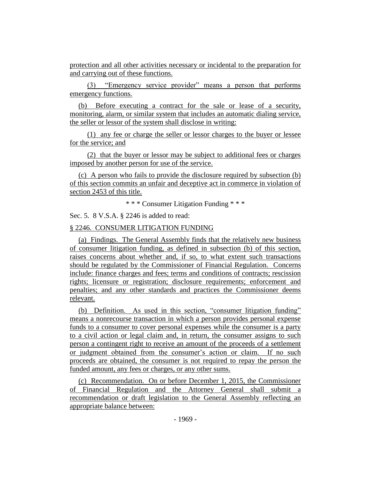protection and all other activities necessary or incidental to the preparation for and carrying out of these functions.

(3) "Emergency service provider" means a person that performs emergency functions.

(b) Before executing a contract for the sale or lease of a security, monitoring, alarm, or similar system that includes an automatic dialing service, the seller or lessor of the system shall disclose in writing:

(1) any fee or charge the seller or lessor charges to the buyer or lessee for the service; and

(2) that the buyer or lessor may be subject to additional fees or charges imposed by another person for use of the service.

(c) A person who fails to provide the disclosure required by subsection (b) of this section commits an unfair and deceptive act in commerce in violation of section 2453 of this title.

\* \* \* Consumer Litigation Funding \* \* \*

Sec. 5. 8 V.S.A. § 2246 is added to read:

#### § 2246. CONSUMER LITIGATION FUNDING

(a) Findings. The General Assembly finds that the relatively new business of consumer litigation funding, as defined in subsection (b) of this section, raises concerns about whether and, if so, to what extent such transactions should be regulated by the Commissioner of Financial Regulation. Concerns include: finance charges and fees; terms and conditions of contracts; rescission rights; licensure or registration; disclosure requirements; enforcement and penalties; and any other standards and practices the Commissioner deems relevant.

(b) Definition. As used in this section, "consumer litigation funding" means a nonrecourse transaction in which a person provides personal expense funds to a consumer to cover personal expenses while the consumer is a party to a civil action or legal claim and, in return, the consumer assigns to such person a contingent right to receive an amount of the proceeds of a settlement or judgment obtained from the consumer's action or claim. If no such proceeds are obtained, the consumer is not required to repay the person the funded amount, any fees or charges, or any other sums.

(c) Recommendation. On or before December 1, 2015, the Commissioner of Financial Regulation and the Attorney General shall submit a recommendation or draft legislation to the General Assembly reflecting an appropriate balance between: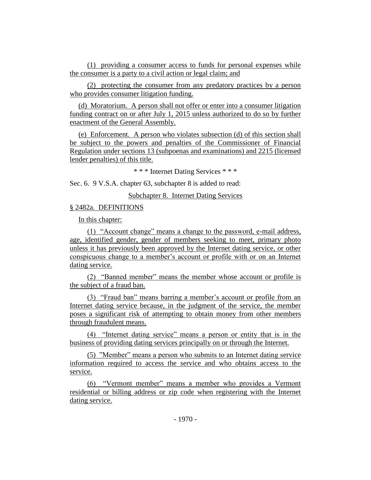(1) providing a consumer access to funds for personal expenses while the consumer is a party to a civil action or legal claim; and

(2) protecting the consumer from any predatory practices by a person who provides consumer litigation funding.

(d) Moratorium. A person shall not offer or enter into a consumer litigation funding contract on or after July 1, 2015 unless authorized to do so by further enactment of the General Assembly.

(e) Enforcement. A person who violates subsection (d) of this section shall be subject to the powers and penalties of the Commissioner of Financial Regulation under sections 13 (subpoenas and examinations) and 2215 (licensed lender penalties) of this title.

\* \* \* Internet Dating Services \* \* \*

Sec. 6. 9 V.S.A. chapter 63, subchapter 8 is added to read:

Subchapter 8. Internet Dating Services

# § 2482a. DEFINITIONS

In this chapter:

(1) "Account change" means a change to the password, e-mail address, age, identified gender, gender of members seeking to meet, primary photo unless it has previously been approved by the Internet dating service, or other conspicuous change to a member's account or profile with or on an Internet dating service.

(2) "Banned member" means the member whose account or profile is the subject of a fraud ban.

(3) "Fraud ban" means barring a member's account or profile from an Internet dating service because, in the judgment of the service, the member poses a significant risk of attempting to obtain money from other members through fraudulent means.

(4) "Internet dating service" means a person or entity that is in the business of providing dating services principally on or through the Internet.

(5) "Member" means a person who submits to an Internet dating service information required to access the service and who obtains access to the service.

(6) "Vermont member" means a member who provides a Vermont residential or billing address or zip code when registering with the Internet dating service.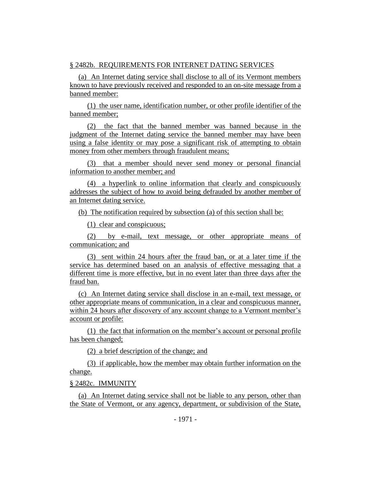# § 2482b. REQUIREMENTS FOR INTERNET DATING SERVICES

(a) An Internet dating service shall disclose to all of its Vermont members known to have previously received and responded to an on-site message from a banned member:

(1) the user name, identification number, or other profile identifier of the banned member;

(2) the fact that the banned member was banned because in the judgment of the Internet dating service the banned member may have been using a false identity or may pose a significant risk of attempting to obtain money from other members through fraudulent means;

(3) that a member should never send money or personal financial information to another member; and

(4) a hyperlink to online information that clearly and conspicuously addresses the subject of how to avoid being defrauded by another member of an Internet dating service.

(b) The notification required by subsection (a) of this section shall be:

(1) clear and conspicuous;

(2) by e-mail, text message, or other appropriate means of communication; and

(3) sent within 24 hours after the fraud ban, or at a later time if the service has determined based on an analysis of effective messaging that a different time is more effective, but in no event later than three days after the fraud ban.

(c) An Internet dating service shall disclose in an e-mail, text message, or other appropriate means of communication, in a clear and conspicuous manner, within 24 hours after discovery of any account change to a Vermont member's account or profile:

(1) the fact that information on the member's account or personal profile has been changed;

(2) a brief description of the change; and

(3) if applicable, how the member may obtain further information on the change.

# § 2482c. IMMUNITY

(a) An Internet dating service shall not be liable to any person, other than the State of Vermont, or any agency, department, or subdivision of the State,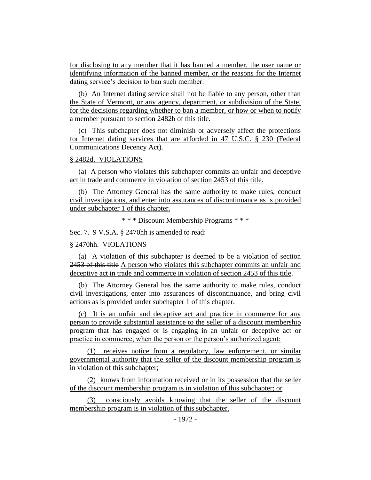for disclosing to any member that it has banned a member, the user name or identifying information of the banned member, or the reasons for the Internet dating service's decision to ban such member.

(b) An Internet dating service shall not be liable to any person, other than the State of Vermont, or any agency, department, or subdivision of the State, for the decisions regarding whether to ban a member, or how or when to notify a member pursuant to section 2482b of this title.

(c) This subchapter does not diminish or adversely affect the protections for Internet dating services that are afforded in 47 U.S.C. § 230 (Federal Communications Decency Act).

#### § 2482d. VIOLATIONS

(a) A person who violates this subchapter commits an unfair and deceptive act in trade and commerce in violation of section 2453 of this title.

(b) The Attorney General has the same authority to make rules, conduct civil investigations, and enter into assurances of discontinuance as is provided under subchapter 1 of this chapter.

\* \* \* Discount Membership Programs \* \* \*

Sec. 7. 9 V.S.A. § 2470hh is amended to read:

#### § 2470hh. VIOLATIONS

(a) A violation of this subchapter is deemed to be a violation of section 2453 of this title A person who violates this subchapter commits an unfair and deceptive act in trade and commerce in violation of section 2453 of this title.

(b) The Attorney General has the same authority to make rules, conduct civil investigations, enter into assurances of discontinuance, and bring civil actions as is provided under subchapter 1 of this chapter.

(c) It is an unfair and deceptive act and practice in commerce for any person to provide substantial assistance to the seller of a discount membership program that has engaged or is engaging in an unfair or deceptive act or practice in commerce, when the person or the person's authorized agent:

(1) receives notice from a regulatory, law enforcement, or similar governmental authority that the seller of the discount membership program is in violation of this subchapter;

(2) knows from information received or in its possession that the seller of the discount membership program is in violation of this subchapter; or

(3) consciously avoids knowing that the seller of the discount membership program is in violation of this subchapter.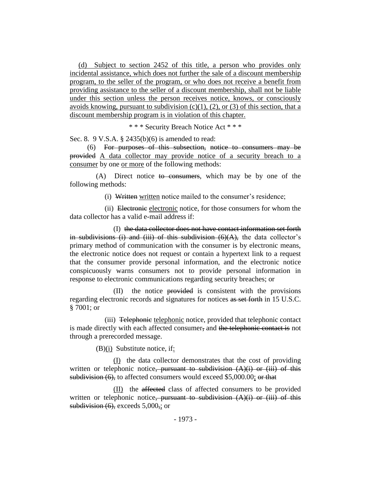(d) Subject to section 2452 of this title, a person who provides only incidental assistance, which does not further the sale of a discount membership program, to the seller of the program, or who does not receive a benefit from providing assistance to the seller of a discount membership, shall not be liable under this section unless the person receives notice, knows, or consciously avoids knowing, pursuant to subdivision  $(c)(1)$ ,  $(2)$ , or  $(3)$  of this section, that a discount membership program is in violation of this chapter.

\* \* \* Security Breach Notice Act \* \* \*

Sec. 8. 9 V.S.A. § 2435(b)(6) is amended to read:

(6) For purposes of this subsection, notice to consumers may be provided A data collector may provide notice of a security breach to a consumer by one or more of the following methods:

(A) Direct notice to consumers, which may be by one of the following methods:

(i) Written written notice mailed to the consumer's residence;

(ii) Electronic electronic notice, for those consumers for whom the data collector has a valid e-mail address if:

(I) the data collector does not have contact information set forth in subdivisions (i) and (iii) of this subdivision  $(6)(A)$ , the data collector's primary method of communication with the consumer is by electronic means, the electronic notice does not request or contain a hypertext link to a request that the consumer provide personal information, and the electronic notice conspicuously warns consumers not to provide personal information in response to electronic communications regarding security breaches; or

(II) the notice provided is consistent with the provisions regarding electronic records and signatures for notices as set forth in 15 U.S.C. § 7001; or

(iii) Telephonic telephonic notice, provided that telephonic contact is made directly with each affected consumer, and the telephonic contact is not through a prerecorded message.

(B)(i) Substitute notice, if:

(I) the data collector demonstrates that the cost of providing written or telephonic notice<del>, pursuant to subdivision (A)(i) or (iii) of this</del> subdivision (6), to affected consumers would exceed \$5,000.00; or that

(II) the affected class of affected consumers to be provided written or telephonic notice, pursuant to subdivision  $(A)(i)$  or (iii) of this subdivision  $(6)$ , exceeds  $5,000$ , or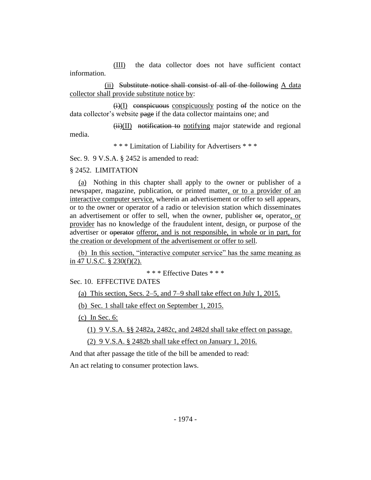(III) the data collector does not have sufficient contact information.

(ii) Substitute notice shall consist of all of the following A data collector shall provide substitute notice by:

 $\overline{(i)}$  conspicuous conspicuously posting of the notice on the data collector's website page if the data collector maintains one; and

 $(ii)(II)$  notification to notifying major statewide and regional media.

\* \* \* Limitation of Liability for Advertisers \* \* \*

Sec. 9. 9 V.S.A. § 2452 is amended to read:

#### § 2452. LIMITATION

(a) Nothing in this chapter shall apply to the owner or publisher of a newspaper, magazine, publication, or printed matter, or to a provider of an interactive computer service, wherein an advertisement or offer to sell appears, or to the owner or operator of a radio or television station which disseminates an advertisement or offer to sell, when the owner, publisher  $\Theta$ <sub>r</sub>, operator, or provider has no knowledge of the fraudulent intent, design, or purpose of the advertiser or operator offeror, and is not responsible, in whole or in part, for the creation or development of the advertisement or offer to sell.

(b) In this section, "interactive computer service" has the same meaning as in 47 U.S.C. § 230(f)(2).

\* \* \* Effective Dates \* \* \*

Sec. 10. EFFECTIVE DATES

(a) This section, Secs. 2–5, and 7–9 shall take effect on July 1, 2015.

(b) Sec. 1 shall take effect on September 1, 2015.

(c) In Sec. 6:

(1) 9 V.S.A. §§ 2482a, 2482c, and 2482d shall take effect on passage.

(2) 9 V.S.A. § 2482b shall take effect on January 1, 2016.

And that after passage the title of the bill be amended to read:

An act relating to consumer protection laws.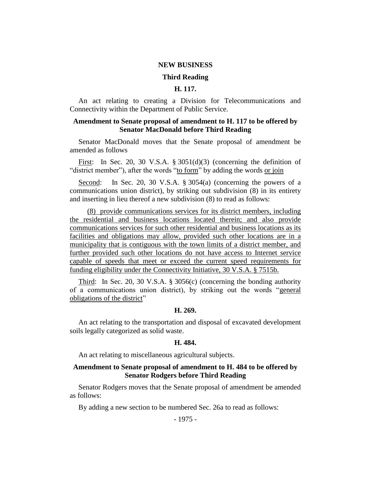#### **NEW BUSINESS**

#### **Third Reading**

## **H. 117.**

An act relating to creating a Division for Telecommunications and Connectivity within the Department of Public Service.

## **Amendment to Senate proposal of amendment to H. 117 to be offered by Senator MacDonald before Third Reading**

Senator MacDonald moves that the Senate proposal of amendment be amended as follows

First: In Sec. 20, 30 V.S.A. § 3051(d)(3) (concerning the definition of "district member"), after the words "to form" by adding the words or join

Second: In Sec. 20, 30 V.S.A. § 3054(a) (concerning the powers of a communications union district), by striking out subdivision (8) in its entirety and inserting in lieu thereof a new subdivision (8) to read as follows:

(8) provide communications services for its district members, including the residential and business locations located therein; and also provide communications services for such other residential and business locations as its facilities and obligations may allow, provided such other locations are in a municipality that is contiguous with the town limits of a district member, and further provided such other locations do not have access to Internet service capable of speeds that meet or exceed the current speed requirements for funding eligibility under the Connectivity Initiative, 30 V.S.A. § 7515b.

Third: In Sec. 20, 30 V.S.A. § 3056(c) (concerning the bonding authority of a communications union district), by striking out the words "general obligations of the district"

# **H. 269.**

An act relating to the transportation and disposal of excavated development soils legally categorized as solid waste.

#### **H. 484.**

An act relating to miscellaneous agricultural subjects.

## **Amendment to Senate proposal of amendment to H. 484 to be offered by Senator Rodgers before Third Reading**

Senator Rodgers moves that the Senate proposal of amendment be amended as follows:

By adding a new section to be numbered Sec. 26a to read as follows: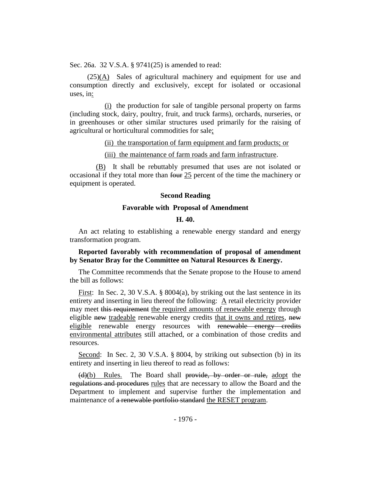Sec. 26a. 32 V.S.A. § 9741(25) is amended to read:

(25)(A) Sales of agricultural machinery and equipment for use and consumption directly and exclusively, except for isolated or occasional uses, in:

(i) the production for sale of tangible personal property on farms (including stock, dairy, poultry, fruit, and truck farms), orchards, nurseries, or in greenhouses or other similar structures used primarily for the raising of agricultural or horticultural commodities for sale;

#### (ii) the transportation of farm equipment and farm products; or

(iii) the maintenance of farm roads and farm infrastructure.

(B) It shall be rebuttably presumed that uses are not isolated or occasional if they total more than four 25 percent of the time the machinery or equipment is operated.

#### **Second Reading**

#### **Favorable with Proposal of Amendment**

#### **H. 40.**

An act relating to establishing a renewable energy standard and energy transformation program.

# **Reported favorably with recommendation of proposal of amendment by Senator Bray for the Committee on Natural Resources & Energy.**

The Committee recommends that the Senate propose to the House to amend the bill as follows:

First: In Sec. 2, 30 V.S.A. § 8004(a), by striking out the last sentence in its entirety and inserting in lieu thereof the following:  $\Delta$  retail electricity provider may meet this requirement the required amounts of renewable energy through eligible new tradeable renewable energy credits that it owns and retires, new eligible renewable energy resources with renewable energy credits environmental attributes still attached, or a combination of those credits and resources.

Second: In Sec. 2, 30 V.S.A. § 8004, by striking out subsection (b) in its entirety and inserting in lieu thereof to read as follows:

(d)(b) Rules. The Board shall provide, by order or rule, adopt the regulations and procedures rules that are necessary to allow the Board and the Department to implement and supervise further the implementation and maintenance of a renewable portfolio standard the RESET program.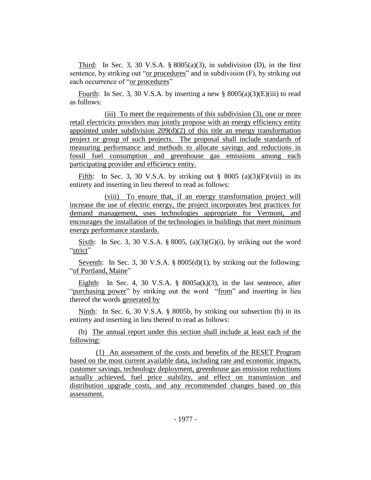Third: In Sec. 3, 30 V.S.A.  $\S 8005(a)(3)$ , in subdivision (D), in the first sentence, by striking out "or procedures" and in subdivision (F), by striking out each occurrence of "or procedures"

Fourth: In Sec. 3, 30 V.S.A. by inserting a new  $\S$  8005(a)(3)(E)(iii) to read as follows:

(iii) To meet the requirements of this subdivision (3), one or more retail electricity providers may jointly propose with an energy efficiency entity appointed under subdivision  $209(d)(2)$  of this title an energy transformation project or group of such projects. The proposal shall include standards of measuring performance and methods to allocate savings and reductions in fossil fuel consumption and greenhouse gas emissions among each participating provider and efficiency entity.

Fifth: In Sec. 3, 30 V.S.A. by striking out  $\S$  8005 (a)(3)(F)(viii) in its entirety and inserting in lieu thereof to read as follows:

(viii) To ensure that, if an energy transformation project will increase the use of electric energy, the project incorporates best practices for demand management, uses technologies appropriate for Vermont, and encourages the installation of the technologies in buildings that meet minimum energy performance standards.

Sixth: In Sec. 3, 30 V.S.A. § 8005, (a)(3)(G)(i), by striking out the word "strict"

Seventh: In Sec. 3, 30 V.S.A. §  $8005(d)(1)$ , by striking out the following: "of Portland, Maine"

Eighth: In Sec. 4, 30 V.S.A.  $\S$  8005a(k)(3), in the last sentence, after "purchasing power" by striking out the word "from" and inserting in lieu thereof the words generated by

Ninth: In Sec. 6, 30 V.S.A. § 8005b, by striking out subsection (b) in its entirety and inserting in lieu thereof to read as follows:

(b) The annual report under this section shall include at least each of the following:

(1) An assessment of the costs and benefits of the RESET Program based on the most current available data, including rate and economic impacts, customer savings, technology deployment, greenhouse gas emission reductions actually achieved, fuel price stability, and effect on transmission and distribution upgrade costs, and any recommended changes based on this assessment.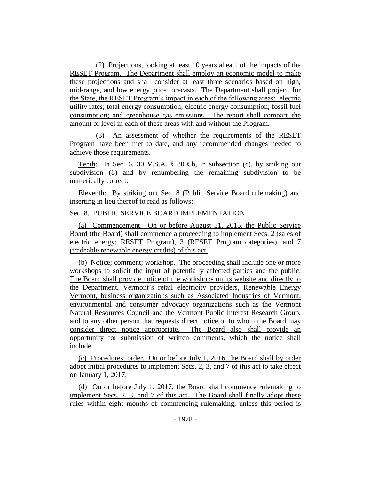(2) Projections, looking at least 10 years ahead, of the impacts of the RESET Program. The Department shall employ an economic model to make these projections and shall consider at least three scenarios based on high, mid-range, and low energy price forecasts. The Department shall project, for the State, the RESET Program's impact in each of the following areas: electric utility rates; total energy consumption; electric energy consumption; fossil fuel consumption; and greenhouse gas emissions. The report shall compare the amount or level in each of these areas with and without the Program.

(3) An assessment of whether the requirements of the RESET Program have been met to date, and any recommended changes needed to achieve those requirements.

Tenth: In Sec. 6, 30 V.S.A. § 8005b, in subsection (c), by striking out subdivision (8) and by renumbering the remaining subdivision to be numerically correct.

Eleventh: By striking out Sec. 8 (Public Service Board rulemaking) and inserting in lieu thereof to read as follows:

# Sec. 8. PUBLIC SERVICE BOARD IMPLEMENTATION

(a) Commencement. On or before August 31, 2015, the Public Service Board (the Board) shall commence a proceeding to implement Secs. 2 (sales of electric energy; RESET Program), 3 (RESET Program categories), and 7 (tradeable renewable energy credits) of this act.

(b) Notice; comment; workshop. The proceeding shall include one or more workshops to solicit the input of potentially affected parties and the public. The Board shall provide notice of the workshops on its website and directly to the Department, Vermont's retail electricity providers, Renewable Energy Vermont, business organizations such as Associated Industries of Vermont, environmental and consumer advocacy organizations such as the Vermont Natural Resources Council and the Vermont Public Interest Research Group, and to any other person that requests direct notice or to whom the Board may consider direct notice appropriate. The Board also shall provide an opportunity for submission of written comments, which the notice shall include.

(c) Procedures; order. On or before July 1, 2016, the Board shall by order adopt initial procedures to implement Secs. 2, 3, and 7 of this act to take effect on January 1, 2017.

(d) On or before July 1, 2017, the Board shall commence rulemaking to implement Secs. 2, 3, and 7 of this act. The Board shall finally adopt these rules within eight months of commencing rulemaking, unless this period is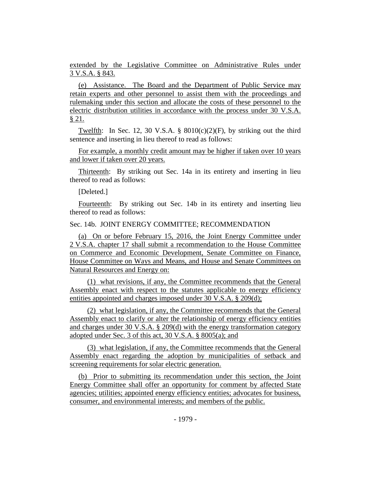extended by the Legislative Committee on Administrative Rules under 3 V.S.A. § 843.

(e) Assistance. The Board and the Department of Public Service may retain experts and other personnel to assist them with the proceedings and rulemaking under this section and allocate the costs of these personnel to the electric distribution utilities in accordance with the process under 30 V.S.A. § 21.

Twelfth: In Sec. 12, 30 V.S.A. §  $8010(c)(2)(F)$ , by striking out the third sentence and inserting in lieu thereof to read as follows:

For example, a monthly credit amount may be higher if taken over 10 years and lower if taken over 20 years.

Thirteenth: By striking out Sec. 14a in its entirety and inserting in lieu thereof to read as follows:

[Deleted.]

Fourteenth: By striking out Sec. 14b in its entirety and inserting lieu thereof to read as follows:

# Sec. 14b. JOINT ENERGY COMMITTEE; RECOMMENDATION

(a) On or before February 15, 2016, the Joint Energy Committee under 2 V.S.A. chapter 17 shall submit a recommendation to the House Committee on Commerce and Economic Development, Senate Committee on Finance, House Committee on Ways and Means, and House and Senate Committees on Natural Resources and Energy on:

(1) what revisions, if any, the Committee recommends that the General Assembly enact with respect to the statutes applicable to energy efficiency entities appointed and charges imposed under 30 V.S.A. § 209(d);

(2) what legislation, if any, the Committee recommends that the General Assembly enact to clarify or alter the relationship of energy efficiency entities and charges under 30 V.S.A. § 209(d) with the energy transformation category adopted under Sec. 3 of this act, 30 V.S.A. § 8005(a); and

(3) what legislation, if any, the Committee recommends that the General Assembly enact regarding the adoption by municipalities of setback and screening requirements for solar electric generation.

(b) Prior to submitting its recommendation under this section, the Joint Energy Committee shall offer an opportunity for comment by affected State agencies; utilities; appointed energy efficiency entities; advocates for business, consumer, and environmental interests; and members of the public.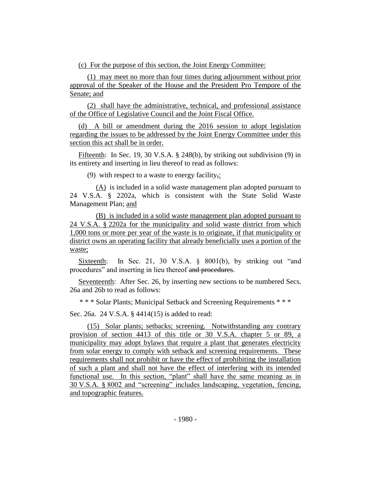(c) For the purpose of this section, the Joint Energy Committee:

(1) may meet no more than four times during adjournment without prior approval of the Speaker of the House and the President Pro Tempore of the Senate; and

(2) shall have the administrative, technical, and professional assistance of the Office of Legislative Council and the Joint Fiscal Office.

(d) A bill or amendment during the 2016 session to adopt legislation regarding the issues to be addressed by the Joint Energy Committee under this section this act shall be in order.

Fifteenth: In Sec. 19, 30 V.S.A. § 248(b), by striking out subdivision (9) in its entirety and inserting in lieu thereof to read as follows:

(9) with respect to a waste to energy facility,:

(A) is included in a solid waste management plan adopted pursuant to 24 V.S.A. § 2202a, which is consistent with the State Solid Waste Management Plan; and

(B) is included in a solid waste management plan adopted pursuant to 24 V.S.A. § 2202a for the municipality and solid waste district from which 1,000 tons or more per year of the waste is to originate, if that municipality or district owns an operating facility that already beneficially uses a portion of the waste;

Sixteenth: In Sec. 21, 30 V.S.A. § 8001(b), by striking out "and procedures" and inserting in lieu thereof and procedures.

Seventeenth: After Sec. 26, by inserting new sections to be numbered Secs. 26a and 26b to read as follows:

\* \* \* Solar Plants; Municipal Setback and Screening Requirements \* \* \*

Sec. 26a. 24 V.S.A. § 4414(15) is added to read:

(15) Solar plants; setbacks; screening. Notwithstanding any contrary provision of section 4413 of this title or 30 V.S.A. chapter 5 or 89, a municipality may adopt bylaws that require a plant that generates electricity from solar energy to comply with setback and screening requirements. These requirements shall not prohibit or have the effect of prohibiting the installation of such a plant and shall not have the effect of interfering with its intended functional use. In this section, "plant" shall have the same meaning as in 30 V.S.A. § 8002 and "screening" includes landscaping, vegetation, fencing, and topographic features.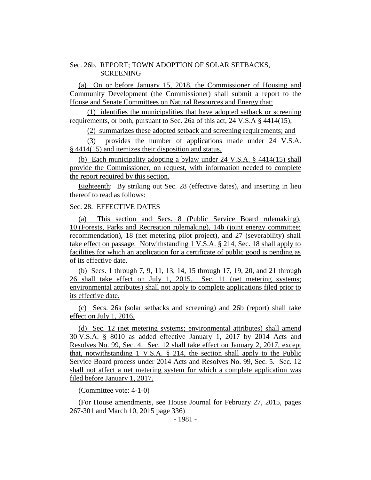#### Sec. 26b. REPORT; TOWN ADOPTION OF SOLAR SETBACKS, **SCREENING**

(a) On or before January 15, 2018, the Commissioner of Housing and Community Development (the Commissioner) shall submit a report to the House and Senate Committees on Natural Resources and Energy that:

(1) identifies the municipalities that have adopted setback or screening requirements, or both, pursuant to Sec. 26a of this act, 24 V.S.A § 4414(15);

(2) summarizes these adopted setback and screening requirements; and

(3) provides the number of applications made under 24 V.S.A. § 4414(15) and itemizes their disposition and status.

(b) Each municipality adopting a bylaw under 24 V.S.A. § 4414(15) shall provide the Commissioner, on request, with information needed to complete the report required by this section.

Eighteenth: By striking out Sec. 28 (effective dates), and inserting in lieu thereof to read as follows:

#### Sec. 28. EFFECTIVE DATES

(a) This section and Secs. 8 (Public Service Board rulemaking), 10 (Forests, Parks and Recreation rulemaking), 14b (joint energy committee; recommendation), 18 (net metering pilot project), and 27 (severability) shall take effect on passage. Notwithstanding 1 V.S.A. § 214, Sec. 18 shall apply to facilities for which an application for a certificate of public good is pending as of its effective date.

(b) Secs. 1 through 7, 9, 11, 13, 14, 15 through 17, 19, 20, and 21 through 26 shall take effect on July 1, 2015. Sec. 11 (net metering systems; environmental attributes) shall not apply to complete applications filed prior to its effective date.

(c) Secs. 26a (solar setbacks and screening) and 26b (report) shall take effect on July 1, 2016.

(d) Sec. 12 (net metering systems; environmental attributes) shall amend 30 V.S.A. § 8010 as added effective January 1, 2017 by 2014 Acts and Resolves No. 99, Sec. 4. Sec. 12 shall take effect on January 2, 2017, except that, notwithstanding 1 V.S.A. § 214, the section shall apply to the Public Service Board process under 2014 Acts and Resolves No. 99, Sec. 5. Sec. 12 shall not affect a net metering system for which a complete application was filed before January 1, 2017.

(Committee vote: 4-1-0)

(For House amendments, see House Journal for February 27, 2015, pages 267-301 and March 10, 2015 page 336)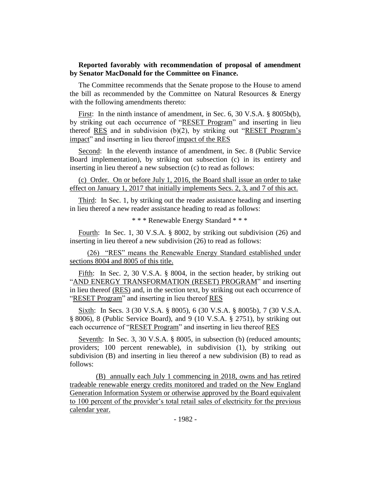## **Reported favorably with recommendation of proposal of amendment by Senator MacDonald for the Committee on Finance.**

The Committee recommends that the Senate propose to the House to amend the bill as recommended by the Committee on Natural Resources & Energy with the following amendments thereto:

First: In the ninth instance of amendment, in Sec. 6, 30 V.S.A. § 8005b(b), by striking out each occurrence of "RESET Program" and inserting in lieu thereof RES and in subdivision (b)(2), by striking out "RESET Program's impact" and inserting in lieu thereof impact of the RES

Second: In the eleventh instance of amendment, in Sec. 8 (Public Service Board implementation), by striking out subsection (c) in its entirety and inserting in lieu thereof a new subsection (c) to read as follows:

(c) Order. On or before July 1, 2016, the Board shall issue an order to take effect on January 1, 2017 that initially implements Secs. 2, 3, and 7 of this act.

Third: In Sec. 1, by striking out the reader assistance heading and inserting in lieu thereof a new reader assistance heading to read as follows:

\* \* \* Renewable Energy Standard \* \* \*

Fourth: In Sec. 1, 30 V.S.A. § 8002, by striking out subdivision (26) and inserting in lieu thereof a new subdivision (26) to read as follows:

(26) "RES" means the Renewable Energy Standard established under sections 8004 and 8005 of this title.

Fifth: In Sec. 2, 30 V.S.A. § 8004, in the section header, by striking out "AND ENERGY TRANSFORMATION (RESET) PROGRAM" and inserting in lieu thereof (RES) and, in the section text, by striking out each occurrence of "RESET Program" and inserting in lieu thereof RES

Sixth: In Secs. 3 (30 V.S.A. § 8005), 6 (30 V.S.A. § 8005b), 7 (30 V.S.A. § 8006), 8 (Public Service Board), and 9 (10 V.S.A. § 2751), by striking out each occurrence of "RESET Program" and inserting in lieu thereof RES

Seventh: In Sec. 3, 30 V.S.A. § 8005, in subsection (b) (reduced amounts; providers; 100 percent renewable), in subdivision (1), by striking out subdivision (B) and inserting in lieu thereof a new subdivision (B) to read as follows:

(B) annually each July 1 commencing in 2018, owns and has retired tradeable renewable energy credits monitored and traded on the New England Generation Information System or otherwise approved by the Board equivalent to 100 percent of the provider's total retail sales of electricity for the previous calendar year.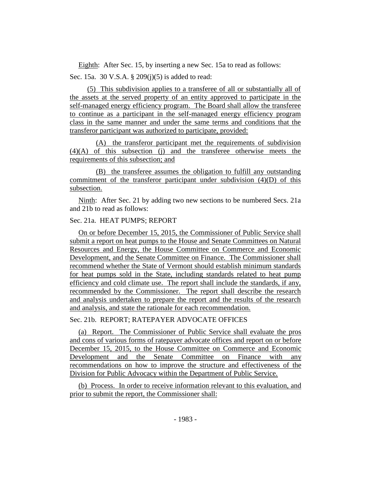Eighth: After Sec. 15, by inserting a new Sec. 15a to read as follows: Sec. 15a. 30 V.S.A. § 209(j)(5) is added to read:

(5) This subdivision applies to a transferee of all or substantially all of the assets at the served property of an entity approved to participate in the self-managed energy efficiency program. The Board shall allow the transferee to continue as a participant in the self-managed energy efficiency program class in the same manner and under the same terms and conditions that the transferor participant was authorized to participate, provided:

(A) the transferor participant met the requirements of subdivision (4)(A) of this subsection (j) and the transferee otherwise meets the requirements of this subsection; and

(B) the transferee assumes the obligation to fulfill any outstanding commitment of the transferor participant under subdivision (4)(D) of this subsection.

Ninth: After Sec. 21 by adding two new sections to be numbered Secs. 21a and 21b to read as follows:

# Sec. 21a. HEAT PUMPS; REPORT

On or before December 15, 2015, the Commissioner of Public Service shall submit a report on heat pumps to the House and Senate Committees on Natural Resources and Energy, the House Committee on Commerce and Economic Development, and the Senate Committee on Finance. The Commissioner shall recommend whether the State of Vermont should establish minimum standards for heat pumps sold in the State, including standards related to heat pump efficiency and cold climate use. The report shall include the standards, if any, recommended by the Commissioner. The report shall describe the research and analysis undertaken to prepare the report and the results of the research and analysis, and state the rationale for each recommendation.

# Sec. 21b. REPORT; RATEPAYER ADVOCATE OFFICES

(a) Report. The Commissioner of Public Service shall evaluate the pros and cons of various forms of ratepayer advocate offices and report on or before December 15, 2015, to the House Committee on Commerce and Economic Development and the Senate Committee on Finance with any recommendations on how to improve the structure and effectiveness of the Division for Public Advocacy within the Department of Public Service.

(b) Process. In order to receive information relevant to this evaluation, and prior to submit the report, the Commissioner shall: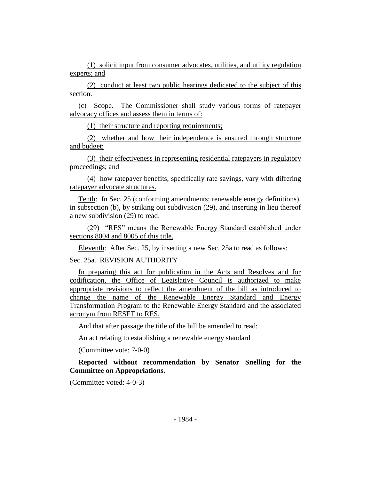(1) solicit input from consumer advocates, utilities, and utility regulation experts; and

(2) conduct at least two public hearings dedicated to the subject of this section.

(c) Scope. The Commissioner shall study various forms of ratepayer advocacy offices and assess them in terms of:

(1) their structure and reporting requirements;

(2) whether and how their independence is ensured through structure and budget;

(3) their effectiveness in representing residential ratepayers in regulatory proceedings; and

(4) how ratepayer benefits, specifically rate savings, vary with differing ratepayer advocate structures.

Tenth: In Sec. 25 (conforming amendments; renewable energy definitions), in subsection (b), by striking out subdivision (29), and inserting in lieu thereof a new subdivision (29) to read:

(29) "RES" means the Renewable Energy Standard established under sections 8004 and 8005 of this title.

Eleventh: After Sec. 25, by inserting a new Sec. 25a to read as follows:

# Sec. 25a. REVISION AUTHORITY

In preparing this act for publication in the Acts and Resolves and for codification, the Office of Legislative Council is authorized to make appropriate revisions to reflect the amendment of the bill as introduced to change the name of the Renewable Energy Standard and Energy Transformation Program to the Renewable Energy Standard and the associated acronym from RESET to RES.

And that after passage the title of the bill be amended to read:

An act relating to establishing a renewable energy standard

(Committee vote: 7-0-0)

**Reported without recommendation by Senator Snelling for the Committee on Appropriations.**

(Committee voted: 4-0-3)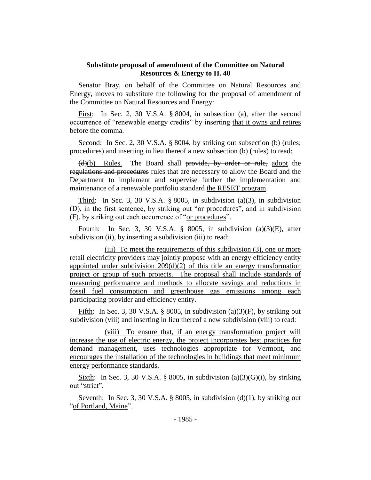# **Substitute proposal of amendment of the Committee on Natural Resources & Energy to H. 40**

Senator Bray, on behalf of the Committee on Natural Resources and Energy, moves to substitute the following for the proposal of amendment of the Committee on Natural Resources and Energy:

First: In Sec. 2, 30 V.S.A. § 8004, in subsection (a), after the second occurrence of "renewable energy credits" by inserting that it owns and retires before the comma.

Second: In Sec. 2, 30 V.S.A. § 8004, by striking out subsection (b) (rules; procedures) and inserting in lieu thereof a new subsection (b) (rules) to read:

(d)(b) Rules. The Board shall provide, by order or rule, adopt the regulations and procedures rules that are necessary to allow the Board and the Department to implement and supervise further the implementation and maintenance of a renewable portfolio standard the RESET program.

Third: In Sec. 3, 30 V.S.A.  $\S 8005$ , in subdivision (a)(3), in subdivision (D), in the first sentence, by striking out "or procedures", and in subdivision (F), by striking out each occurrence of "or procedures".

Fourth: In Sec. 3, 30 V.S.A.  $\S$  8005, in subdivision (a)(3)(E), after subdivision (ii), by inserting a subdivision (iii) to read:

(iii) To meet the requirements of this subdivision (3), one or more retail electricity providers may jointly propose with an energy efficiency entity appointed under subdivision  $209(d)(2)$  of this title an energy transformation project or group of such projects. The proposal shall include standards of measuring performance and methods to allocate savings and reductions in fossil fuel consumption and greenhouse gas emissions among each participating provider and efficiency entity.

Fifth: In Sec. 3, 30 V.S.A. § 8005, in subdivision (a)(3)(F), by striking out subdivision (viii) and inserting in lieu thereof a new subdivision (viii) to read:

(viii) To ensure that, if an energy transformation project will increase the use of electric energy, the project incorporates best practices for demand management, uses technologies appropriate for Vermont, and encourages the installation of the technologies in buildings that meet minimum energy performance standards.

Sixth: In Sec. 3, 30 V.S.A. § 8005, in subdivision (a)(3)(G)(i), by striking out "strict".

Seventh: In Sec. 3, 30 V.S.A. § 8005, in subdivision  $(d)(1)$ , by striking out "of Portland, Maine".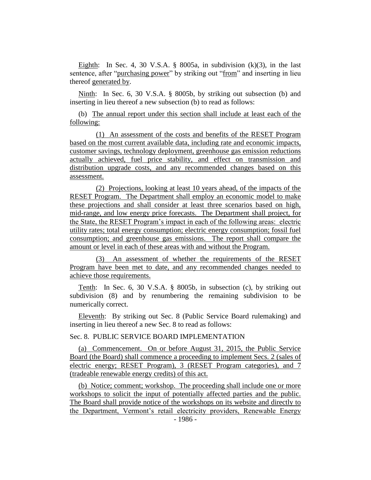Eighth: In Sec. 4, 30 V.S.A.  $\S$  8005a, in subdivision (k)(3), in the last sentence, after "purchasing power" by striking out "from" and inserting in lieu thereof generated by.

Ninth: In Sec. 6, 30 V.S.A. § 8005b, by striking out subsection (b) and inserting in lieu thereof a new subsection (b) to read as follows:

(b) The annual report under this section shall include at least each of the following:

(1) An assessment of the costs and benefits of the RESET Program based on the most current available data, including rate and economic impacts, customer savings, technology deployment, greenhouse gas emission reductions actually achieved, fuel price stability, and effect on transmission and distribution upgrade costs, and any recommended changes based on this assessment.

(2) Projections, looking at least 10 years ahead, of the impacts of the RESET Program. The Department shall employ an economic model to make these projections and shall consider at least three scenarios based on high, mid-range, and low energy price forecasts. The Department shall project, for the State, the RESET Program's impact in each of the following areas: electric utility rates; total energy consumption; electric energy consumption; fossil fuel consumption; and greenhouse gas emissions. The report shall compare the amount or level in each of these areas with and without the Program.

(3) An assessment of whether the requirements of the RESET Program have been met to date, and any recommended changes needed to achieve those requirements.

Tenth: In Sec. 6, 30 V.S.A. § 8005b, in subsection (c), by striking out subdivision (8) and by renumbering the remaining subdivision to be numerically correct.

Eleventh: By striking out Sec. 8 (Public Service Board rulemaking) and inserting in lieu thereof a new Sec. 8 to read as follows:

Sec. 8. PUBLIC SERVICE BOARD IMPLEMENTATION

(a) Commencement. On or before August 31, 2015, the Public Service Board (the Board) shall commence a proceeding to implement Secs. 2 (sales of electric energy; RESET Program), 3 (RESET Program categories), and 7 (tradeable renewable energy credits) of this act.

(b) Notice; comment; workshop. The proceeding shall include one or more workshops to solicit the input of potentially affected parties and the public. The Board shall provide notice of the workshops on its website and directly to the Department, Vermont's retail electricity providers, Renewable Energy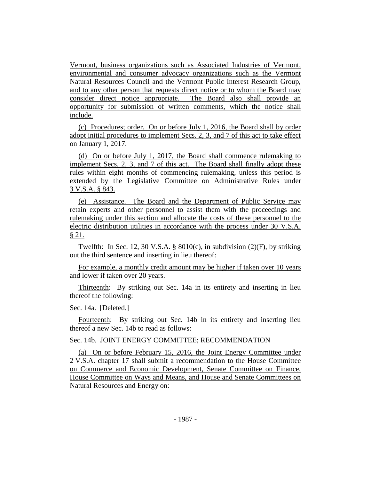Vermont, business organizations such as Associated Industries of Vermont, environmental and consumer advocacy organizations such as the Vermont Natural Resources Council and the Vermont Public Interest Research Group, and to any other person that requests direct notice or to whom the Board may consider direct notice appropriate. The Board also shall provide an opportunity for submission of written comments, which the notice shall include.

(c) Procedures; order. On or before July 1, 2016, the Board shall by order adopt initial procedures to implement Secs. 2, 3, and 7 of this act to take effect on January 1, 2017.

(d) On or before July 1, 2017, the Board shall commence rulemaking to implement Secs. 2, 3, and 7 of this act. The Board shall finally adopt these rules within eight months of commencing rulemaking, unless this period is extended by the Legislative Committee on Administrative Rules under 3 V.S.A. § 843.

(e) Assistance. The Board and the Department of Public Service may retain experts and other personnel to assist them with the proceedings and rulemaking under this section and allocate the costs of these personnel to the electric distribution utilities in accordance with the process under 30 V.S.A. § 21.

Twelfth: In Sec. 12, 30 V.S.A. § 8010(c), in subdivision  $(2)(F)$ , by striking out the third sentence and inserting in lieu thereof:

For example, a monthly credit amount may be higher if taken over 10 years and lower if taken over 20 years.

Thirteenth: By striking out Sec. 14a in its entirety and inserting in lieu thereof the following:

#### Sec. 14a. [Deleted.]

Fourteenth: By striking out Sec. 14b in its entirety and inserting lieu thereof a new Sec. 14b to read as follows:

# Sec. 14b. JOINT ENERGY COMMITTEE; RECOMMENDATION

(a) On or before February 15, 2016, the Joint Energy Committee under 2 V.S.A. chapter 17 shall submit a recommendation to the House Committee on Commerce and Economic Development, Senate Committee on Finance, House Committee on Ways and Means, and House and Senate Committees on Natural Resources and Energy on: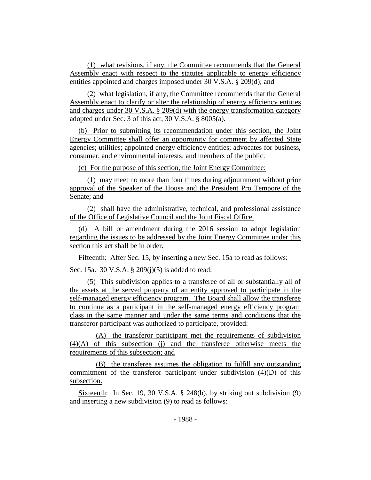(1) what revisions, if any, the Committee recommends that the General Assembly enact with respect to the statutes applicable to energy efficiency entities appointed and charges imposed under 30 V.S.A. § 209(d); and

(2) what legislation, if any, the Committee recommends that the General Assembly enact to clarify or alter the relationship of energy efficiency entities and charges under 30 V.S.A. § 209(d) with the energy transformation category adopted under Sec. 3 of this act, 30 V.S.A. § 8005(a).

(b) Prior to submitting its recommendation under this section, the Joint Energy Committee shall offer an opportunity for comment by affected State agencies; utilities; appointed energy efficiency entities; advocates for business, consumer, and environmental interests; and members of the public.

(c) For the purpose of this section, the Joint Energy Committee:

(1) may meet no more than four times during adjournment without prior approval of the Speaker of the House and the President Pro Tempore of the Senate; and

(2) shall have the administrative, technical, and professional assistance of the Office of Legislative Council and the Joint Fiscal Office.

(d) A bill or amendment during the 2016 session to adopt legislation regarding the issues to be addressed by the Joint Energy Committee under this section this act shall be in order.

Fifteenth: After Sec. 15, by inserting a new Sec. 15a to read as follows:

Sec. 15a. 30 V.S.A. § 209(j)(5) is added to read:

(5) This subdivision applies to a transferee of all or substantially all of the assets at the served property of an entity approved to participate in the self-managed energy efficiency program. The Board shall allow the transferee to continue as a participant in the self-managed energy efficiency program class in the same manner and under the same terms and conditions that the transferor participant was authorized to participate, provided:

(A) the transferor participant met the requirements of subdivision (4)(A) of this subsection (j) and the transferee otherwise meets the requirements of this subsection; and

(B) the transferee assumes the obligation to fulfill any outstanding commitment of the transferor participant under subdivision (4)(D) of this subsection.

Sixteenth: In Sec. 19, 30 V.S.A. § 248(b), by striking out subdivision (9) and inserting a new subdivision (9) to read as follows: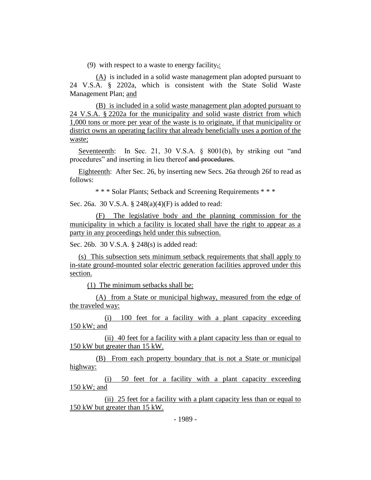(9) with respect to a waste to energy facility,:

(A) is included in a solid waste management plan adopted pursuant to 24 V.S.A. § 2202a, which is consistent with the State Solid Waste Management Plan; and

(B) is included in a solid waste management plan adopted pursuant to 24 V.S.A. § 2202a for the municipality and solid waste district from which 1,000 tons or more per year of the waste is to originate, if that municipality or district owns an operating facility that already beneficially uses a portion of the waste;

Seventeenth: In Sec. 21, 30 V.S.A. § 8001(b), by striking out "and procedures" and inserting in lieu thereof and procedures.

Eighteenth: After Sec. 26, by inserting new Secs. 26a through 26f to read as follows:

\* \* \* Solar Plants; Setback and Screening Requirements \* \* \*

Sec. 26a. 30 V.S.A. § 248(a)(4)(F) is added to read:

(F) The legislative body and the planning commission for the municipality in which a facility is located shall have the right to appear as a party in any proceedings held under this subsection.

Sec. 26b. 30 V.S.A. § 248(s) is added read:

(s) This subsection sets minimum setback requirements that shall apply to in-state ground-mounted solar electric generation facilities approved under this section.

(1) The minimum setbacks shall be:

(A) from a State or municipal highway, measured from the edge of the traveled way:

(i) 100 feet for a facility with a plant capacity exceeding 150 kW; and

(ii) 40 feet for a facility with a plant capacity less than or equal to 150 kW but greater than 15 kW.

(B) From each property boundary that is not a State or municipal highway:

(i) 50 feet for a facility with a plant capacity exceeding 150 kW; and

(ii) 25 feet for a facility with a plant capacity less than or equal to 150 kW but greater than 15 kW.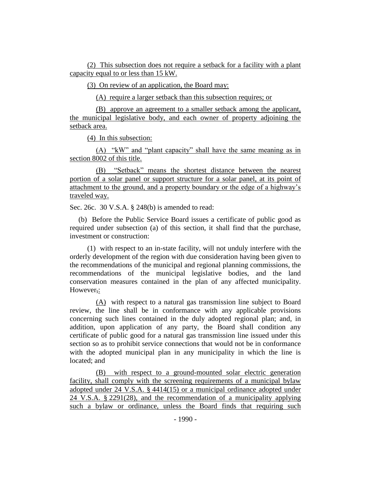(2) This subsection does not require a setback for a facility with a plant capacity equal to or less than 15 kW.

(3) On review of an application, the Board may:

(A) require a larger setback than this subsection requires; or

(B) approve an agreement to a smaller setback among the applicant, the municipal legislative body, and each owner of property adjoining the setback area.

(4) In this subsection:

(A) "kW" and "plant capacity" shall have the same meaning as in section 8002 of this title.

(B) "Setback" means the shortest distance between the nearest portion of a solar panel or support structure for a solar panel, at its point of attachment to the ground, and a property boundary or the edge of a highway's traveled way.

Sec. 26c. 30 V.S.A. § 248(b) is amended to read:

(b) Before the Public Service Board issues a certificate of public good as required under subsection (a) of this section, it shall find that the purchase, investment or construction:

(1) with respect to an in-state facility, will not unduly interfere with the orderly development of the region with due consideration having been given to the recommendations of the municipal and regional planning commissions, the recommendations of the municipal legislative bodies, and the land conservation measures contained in the plan of any affected municipality. However,:

(A) with respect to a natural gas transmission line subject to Board review, the line shall be in conformance with any applicable provisions concerning such lines contained in the duly adopted regional plan; and, in addition, upon application of any party, the Board shall condition any certificate of public good for a natural gas transmission line issued under this section so as to prohibit service connections that would not be in conformance with the adopted municipal plan in any municipality in which the line is located; and

(B) with respect to a ground-mounted solar electric generation facility, shall comply with the screening requirements of a municipal bylaw adopted under 24 V.S.A. § 4414(15) or a municipal ordinance adopted under 24 V.S.A. § 2291(28), and the recommendation of a municipality applying such a bylaw or ordinance, unless the Board finds that requiring such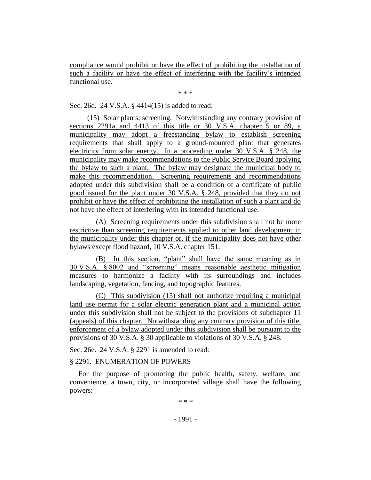compliance would prohibit or have the effect of prohibiting the installation of such a facility or have the effect of interfering with the facility's intended functional use.

\* \* \*

Sec. 26d. 24 V.S.A. § 4414(15) is added to read:

(15) Solar plants; screening. Notwithstanding any contrary provision of sections 2291a and 4413 of this title or 30 V.S.A. chapter 5 or 89, a municipality may adopt a freestanding bylaw to establish screening requirements that shall apply to a ground-mounted plant that generates electricity from solar energy. In a proceeding under 30 V.S.A. § 248, the municipality may make recommendations to the Public Service Board applying the bylaw to such a plant. The bylaw may designate the municipal body to make this recommendation. Screening requirements and recommendations adopted under this subdivision shall be a condition of a certificate of public good issued for the plant under 30 V.S.A. § 248, provided that they do not prohibit or have the effect of prohibiting the installation of such a plant and do not have the effect of interfering with its intended functional use.

(A) Screening requirements under this subdivision shall not be more restrictive than screening requirements applied to other land development in the municipality under this chapter or, if the municipality does not have other bylaws except flood hazard, 10 V.S.A. chapter 151.

(B) In this section, "plant" shall have the same meaning as in 30 V.S.A. § 8002 and "screening" means reasonable aesthetic mitigation measures to harmonize a facility with its surroundings and includes landscaping, vegetation, fencing, and topographic features.

(C) This subdivision (15) shall not authorize requiring a municipal land use permit for a solar electric generation plant and a municipal action under this subdivision shall not be subject to the provisions of subchapter 11 (appeals) of this chapter. Notwithstanding any contrary provision of this title, enforcement of a bylaw adopted under this subdivision shall be pursuant to the provisions of 30 V.S.A. § 30 applicable to violations of 30 V.S.A. § 248.

Sec. 26e. 24 V.S.A. § 2291 is amended to read:

## § 2291. ENUMERATION OF POWERS

For the purpose of promoting the public health, safety, welfare, and convenience, a town, city, or incorporated village shall have the following powers:

\* \* \*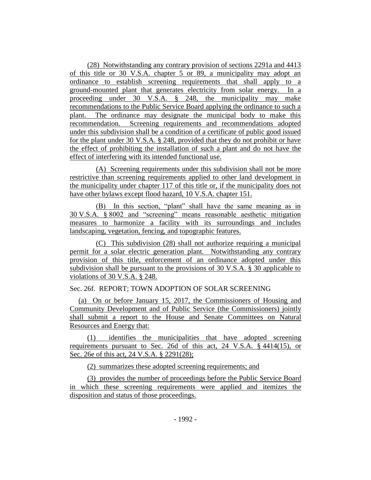(28) Notwithstanding any contrary provision of sections 2291a and 4413 of this title or 30 V.S.A. chapter 5 or 89, a municipality may adopt an ordinance to establish screening requirements that shall apply to a ground-mounted plant that generates electricity from solar energy. In a proceeding under 30 V.S.A. § 248, the municipality may make recommendations to the Public Service Board applying the ordinance to such a plant. The ordinance may designate the municipal body to make this recommendation. Screening requirements and recommendations adopted under this subdivision shall be a condition of a certificate of public good issued for the plant under 30 V.S.A. § 248, provided that they do not prohibit or have the effect of prohibiting the installation of such a plant and do not have the effect of interfering with its intended functional use.

(A) Screening requirements under this subdivision shall not be more restrictive than screening requirements applied to other land development in the municipality under chapter 117 of this title or, if the municipality does not have other bylaws except flood hazard, 10 V.S.A. chapter 151.

(B) In this section, "plant" shall have the same meaning as in 30 V.S.A. § 8002 and "screening" means reasonable aesthetic mitigation measures to harmonize a facility with its surroundings and includes landscaping, vegetation, fencing, and topographic features.

(C) This subdivision (28) shall not authorize requiring a municipal permit for a solar electric generation plant. Notwithstanding any contrary provision of this title, enforcement of an ordinance adopted under this subdivision shall be pursuant to the provisions of 30 V.S.A. § 30 applicable to violations of 30 V.S.A. § 248.

Sec. 26f. REPORT; TOWN ADOPTION OF SOLAR SCREENING

(a) On or before January 15, 2017, the Commissioners of Housing and Community Development and of Public Service (the Commissioners) jointly shall submit a report to the House and Senate Committees on Natural Resources and Energy that:

(1) identifies the municipalities that have adopted screening requirements pursuant to Sec. 26d of this act, 24 V.S.A. § 4414(15), or Sec. 26e of this act, 24 V.S.A. § 2291(28);

(2) summarizes these adopted screening requirements; and

(3) provides the number of proceedings before the Public Service Board in which these screening requirements were applied and itemizes the disposition and status of those proceedings.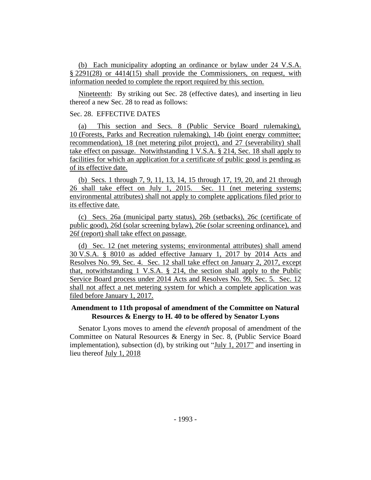(b) Each municipality adopting an ordinance or bylaw under 24 V.S.A. § 2291(28) or 4414(15) shall provide the Commissioners, on request, with information needed to complete the report required by this section.

Nineteenth: By striking out Sec. 28 (effective dates), and inserting in lieu thereof a new Sec. 28 to read as follows:

# Sec. 28. EFFECTIVE DATES

(a) This section and Secs. 8 (Public Service Board rulemaking), 10 (Forests, Parks and Recreation rulemaking), 14b (joint energy committee; recommendation), 18 (net metering pilot project), and 27 (severability) shall take effect on passage. Notwithstanding 1 V.S.A. § 214, Sec. 18 shall apply to facilities for which an application for a certificate of public good is pending as of its effective date.

(b) Secs. 1 through 7, 9, 11, 13, 14, 15 through 17, 19, 20, and 21 through 26 shall take effect on July 1, 2015. Sec. 11 (net metering systems; environmental attributes) shall not apply to complete applications filed prior to its effective date.

(c) Secs. 26a (municipal party status), 26b (setbacks), 26c (certificate of public good), 26d (solar screening bylaw), 26e (solar screening ordinance), and 26f (report) shall take effect on passage.

(d) Sec. 12 (net metering systems; environmental attributes) shall amend 30 V.S.A. § 8010 as added effective January 1, 2017 by 2014 Acts and Resolves No. 99, Sec. 4. Sec. 12 shall take effect on January 2, 2017, except that, notwithstanding 1 V.S.A. § 214, the section shall apply to the Public Service Board process under 2014 Acts and Resolves No. 99, Sec. 5. Sec. 12 shall not affect a net metering system for which a complete application was filed before January 1, 2017.

# **Amendment to 11th proposal of amendment of the Committee on Natural Resources & Energy to H. 40 to be offered by Senator Lyons**

Senator Lyons moves to amend the *eleventh* proposal of amendment of the Committee on Natural Resources & Energy in Sec. 8, (Public Service Board implementation), subsection (d), by striking out "July 1, 2017" and inserting in lieu thereof July 1, 2018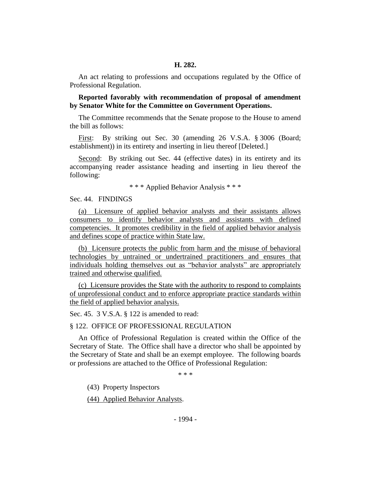An act relating to professions and occupations regulated by the Office of Professional Regulation.

**Reported favorably with recommendation of proposal of amendment by Senator White for the Committee on Government Operations.**

The Committee recommends that the Senate propose to the House to amend the bill as follows:

First: By striking out Sec. 30 (amending 26 V.S.A. § 3006 (Board; establishment)) in its entirety and inserting in lieu thereof [Deleted.]

Second: By striking out Sec. 44 (effective dates) in its entirety and its accompanying reader assistance heading and inserting in lieu thereof the following:

\* \* \* Applied Behavior Analysis \* \* \*

Sec. 44. FINDINGS

(a) Licensure of applied behavior analysts and their assistants allows consumers to identify behavior analysts and assistants with defined competencies. It promotes credibility in the field of applied behavior analysis and defines scope of practice within State law.

(b) Licensure protects the public from harm and the misuse of behavioral technologies by untrained or undertrained practitioners and ensures that individuals holding themselves out as "behavior analysts" are appropriately trained and otherwise qualified.

(c) Licensure provides the State with the authority to respond to complaints of unprofessional conduct and to enforce appropriate practice standards within the field of applied behavior analysis.

Sec. 45. 3 V.S.A. § 122 is amended to read:

#### § 122. OFFICE OF PROFESSIONAL REGULATION

An Office of Professional Regulation is created within the Office of the Secretary of State. The Office shall have a director who shall be appointed by the Secretary of State and shall be an exempt employee. The following boards or professions are attached to the Office of Professional Regulation:

\* \* \*

(43) Property Inspectors

(44) Applied Behavior Analysts.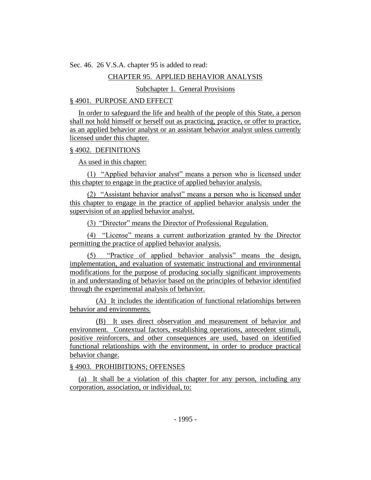Sec. 46. 26 V.S.A. chapter 95 is added to read:

## CHAPTER 95. APPLIED BEHAVIOR ANALYSIS

## Subchapter 1. General Provisions

## § 4901. PURPOSE AND EFFECT

In order to safeguard the life and health of the people of this State, a person shall not hold himself or herself out as practicing, practice, or offer to practice, as an applied behavior analyst or an assistant behavior analyst unless currently licensed under this chapter.

#### § 4902. DEFINITIONS

As used in this chapter:

(1) "Applied behavior analyst" means a person who is licensed under this chapter to engage in the practice of applied behavior analysis.

(2) "Assistant behavior analyst" means a person who is licensed under this chapter to engage in the practice of applied behavior analysis under the supervision of an applied behavior analyst.

(3) "Director" means the Director of Professional Regulation.

(4) "License" means a current authorization granted by the Director permitting the practice of applied behavior analysis.

(5) "Practice of applied behavior analysis" means the design, implementation, and evaluation of systematic instructional and environmental modifications for the purpose of producing socially significant improvements in and understanding of behavior based on the principles of behavior identified through the experimental analysis of behavior.

(A) It includes the identification of functional relationships between behavior and environments.

(B) It uses direct observation and measurement of behavior and environment. Contextual factors, establishing operations, antecedent stimuli, positive reinforcers, and other consequences are used, based on identified functional relationships with the environment, in order to produce practical behavior change.

#### § 4903. PROHIBITIONS; OFFENSES

(a) It shall be a violation of this chapter for any person, including any corporation, association, or individual, to: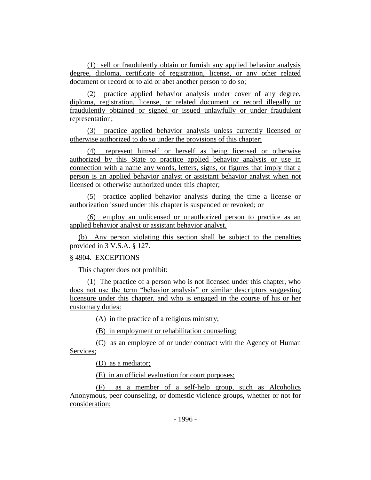(1) sell or fraudulently obtain or furnish any applied behavior analysis degree, diploma, certificate of registration, license, or any other related document or record or to aid or abet another person to do so;

(2) practice applied behavior analysis under cover of any degree, diploma, registration, license, or related document or record illegally or fraudulently obtained or signed or issued unlawfully or under fraudulent representation;

(3) practice applied behavior analysis unless currently licensed or otherwise authorized to do so under the provisions of this chapter;

(4) represent himself or herself as being licensed or otherwise authorized by this State to practice applied behavior analysis or use in connection with a name any words, letters, signs, or figures that imply that a person is an applied behavior analyst or assistant behavior analyst when not licensed or otherwise authorized under this chapter;

(5) practice applied behavior analysis during the time a license or authorization issued under this chapter is suspended or revoked; or

(6) employ an unlicensed or unauthorized person to practice as an applied behavior analyst or assistant behavior analyst.

(b) Any person violating this section shall be subject to the penalties provided in 3 V.S.A. § 127.

#### § 4904. EXCEPTIONS

This chapter does not prohibit:

(1) The practice of a person who is not licensed under this chapter, who does not use the term "behavior analysis" or similar descriptors suggesting licensure under this chapter, and who is engaged in the course of his or her customary duties:

(A) in the practice of a religious ministry;

(B) in employment or rehabilitation counseling;

(C) as an employee of or under contract with the Agency of Human Services;

(D) as a mediator;

(E) in an official evaluation for court purposes;

(F) as a member of a self-help group, such as Alcoholics Anonymous, peer counseling, or domestic violence groups, whether or not for consideration;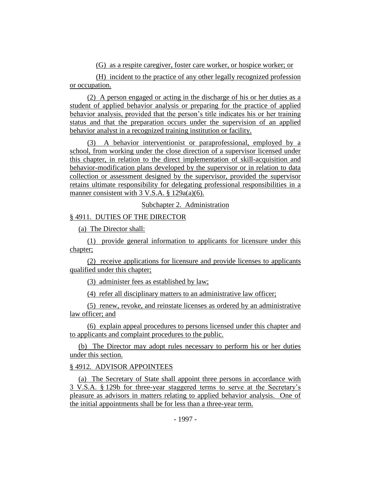(G) as a respite caregiver, foster care worker, or hospice worker; or

(H) incident to the practice of any other legally recognized profession or occupation.

(2) A person engaged or acting in the discharge of his or her duties as a student of applied behavior analysis or preparing for the practice of applied behavior analysis, provided that the person's title indicates his or her training status and that the preparation occurs under the supervision of an applied behavior analyst in a recognized training institution or facility.

(3) A behavior interventionist or paraprofessional, employed by a school, from working under the close direction of a supervisor licensed under this chapter, in relation to the direct implementation of skill-acquisition and behavior-modification plans developed by the supervisor or in relation to data collection or assessment designed by the supervisor, provided the supervisor retains ultimate responsibility for delegating professional responsibilities in a manner consistent with 3 V.S.A. § 129a(a)(6).

Subchapter 2. Administration

# § 4911. DUTIES OF THE DIRECTOR

(a) The Director shall:

(1) provide general information to applicants for licensure under this chapter;

(2) receive applications for licensure and provide licenses to applicants qualified under this chapter;

(3) administer fees as established by law;

(4) refer all disciplinary matters to an administrative law officer;

(5) renew, revoke, and reinstate licenses as ordered by an administrative law officer; and

(6) explain appeal procedures to persons licensed under this chapter and to applicants and complaint procedures to the public.

(b) The Director may adopt rules necessary to perform his or her duties under this section.

# § 4912. ADVISOR APPOINTEES

(a) The Secretary of State shall appoint three persons in accordance with 3 V.S.A. § 129b for three-year staggered terms to serve at the Secretary's pleasure as advisors in matters relating to applied behavior analysis. One of the initial appointments shall be for less than a three-year term.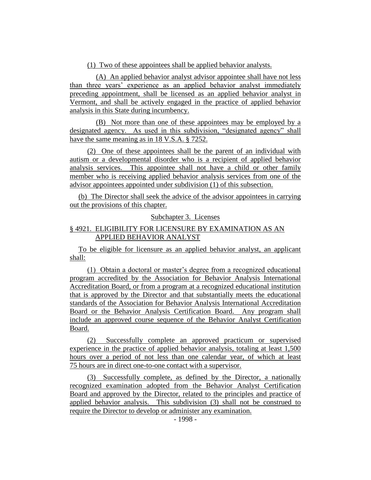(1) Two of these appointees shall be applied behavior analysts.

(A) An applied behavior analyst advisor appointee shall have not less than three years' experience as an applied behavior analyst immediately preceding appointment, shall be licensed as an applied behavior analyst in Vermont, and shall be actively engaged in the practice of applied behavior analysis in this State during incumbency.

(B) Not more than one of these appointees may be employed by a designated agency. As used in this subdivision, "designated agency" shall have the same meaning as in 18 V.S.A. § 7252.

(2) One of these appointees shall be the parent of an individual with autism or a developmental disorder who is a recipient of applied behavior analysis services. This appointee shall not have a child or other family member who is receiving applied behavior analysis services from one of the advisor appointees appointed under subdivision (1) of this subsection.

(b) The Director shall seek the advice of the advisor appointees in carrying out the provisions of this chapter.

Subchapter 3. Licenses

# § 4921. ELIGIBILITY FOR LICENSURE BY EXAMINATION AS AN APPLIED BEHAVIOR ANALYST

To be eligible for licensure as an applied behavior analyst, an applicant shall:

(1) Obtain a doctoral or master's degree from a recognized educational program accredited by the Association for Behavior Analysis International Accreditation Board, or from a program at a recognized educational institution that is approved by the Director and that substantially meets the educational standards of the Association for Behavior Analysis International Accreditation Board or the Behavior Analysis Certification Board. Any program shall include an approved course sequence of the Behavior Analyst Certification Board.

(2) Successfully complete an approved practicum or supervised experience in the practice of applied behavior analysis, totaling at least 1,500 hours over a period of not less than one calendar year, of which at least 75 hours are in direct one-to-one contact with a supervisor.

(3) Successfully complete, as defined by the Director, a nationally recognized examination adopted from the Behavior Analyst Certification Board and approved by the Director, related to the principles and practice of applied behavior analysis. This subdivision (3) shall not be construed to require the Director to develop or administer any examination.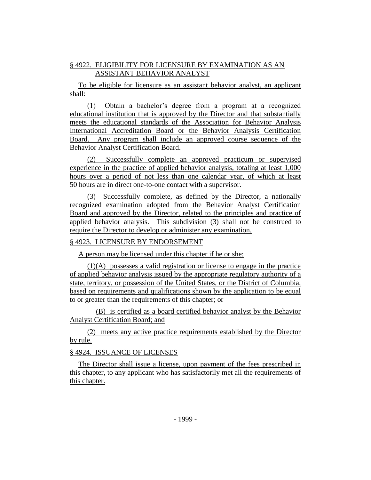# § 4922. ELIGIBILITY FOR LICENSURE BY EXAMINATION AS AN ASSISTANT BEHAVIOR ANALYST

To be eligible for licensure as an assistant behavior analyst, an applicant shall:

(1) Obtain a bachelor's degree from a program at a recognized educational institution that is approved by the Director and that substantially meets the educational standards of the Association for Behavior Analysis International Accreditation Board or the Behavior Analysis Certification Board. Any program shall include an approved course sequence of the Behavior Analyst Certification Board.

(2) Successfully complete an approved practicum or supervised experience in the practice of applied behavior analysis, totaling at least 1,000 hours over a period of not less than one calendar year, of which at least 50 hours are in direct one-to-one contact with a supervisor.

(3) Successfully complete, as defined by the Director, a nationally recognized examination adopted from the Behavior Analyst Certification Board and approved by the Director, related to the principles and practice of applied behavior analysis. This subdivision (3) shall not be construed to require the Director to develop or administer any examination.

# § 4923. LICENSURE BY ENDORSEMENT

A person may be licensed under this chapter if he or she:

(1)(A) possesses a valid registration or license to engage in the practice of applied behavior analysis issued by the appropriate regulatory authority of a state, territory, or possession of the United States, or the District of Columbia, based on requirements and qualifications shown by the application to be equal to or greater than the requirements of this chapter; or

(B) is certified as a board certified behavior analyst by the Behavior Analyst Certification Board; and

(2) meets any active practice requirements established by the Director by rule.

# § 4924. ISSUANCE OF LICENSES

The Director shall issue a license, upon payment of the fees prescribed in this chapter, to any applicant who has satisfactorily met all the requirements of this chapter.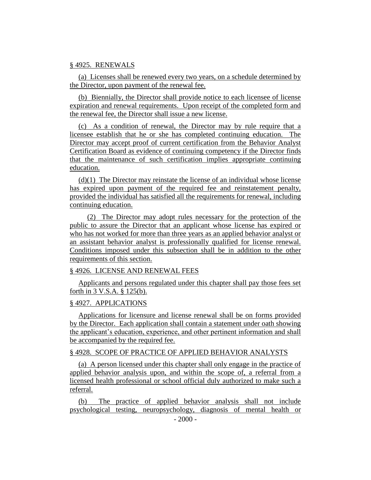#### § 4925. RENEWALS

(a) Licenses shall be renewed every two years, on a schedule determined by the Director, upon payment of the renewal fee.

(b) Biennially, the Director shall provide notice to each licensee of license expiration and renewal requirements. Upon receipt of the completed form and the renewal fee, the Director shall issue a new license.

(c) As a condition of renewal, the Director may by rule require that a licensee establish that he or she has completed continuing education. The Director may accept proof of current certification from the Behavior Analyst Certification Board as evidence of continuing competency if the Director finds that the maintenance of such certification implies appropriate continuing education.

 $(d)(1)$  The Director may reinstate the license of an individual whose license has expired upon payment of the required fee and reinstatement penalty, provided the individual has satisfied all the requirements for renewal, including continuing education.

(2) The Director may adopt rules necessary for the protection of the public to assure the Director that an applicant whose license has expired or who has not worked for more than three years as an applied behavior analyst or an assistant behavior analyst is professionally qualified for license renewal. Conditions imposed under this subsection shall be in addition to the other requirements of this section.

## § 4926. LICENSE AND RENEWAL FEES

Applicants and persons regulated under this chapter shall pay those fees set forth in 3 V.S.A. § 125(b).

#### § 4927. APPLICATIONS

Applications for licensure and license renewal shall be on forms provided by the Director. Each application shall contain a statement under oath showing the applicant's education, experience, and other pertinent information and shall be accompanied by the required fee.

#### § 4928. SCOPE OF PRACTICE OF APPLIED BEHAVIOR ANALYSTS

(a) A person licensed under this chapter shall only engage in the practice of applied behavior analysis upon, and within the scope of, a referral from a licensed health professional or school official duly authorized to make such a referral.

(b) The practice of applied behavior analysis shall not include psychological testing, neuropsychology, diagnosis of mental health or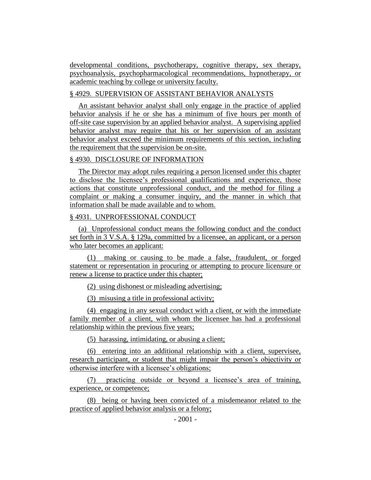developmental conditions, psychotherapy, cognitive therapy, sex therapy, psychoanalysis, psychopharmacological recommendations, hypnotherapy, or academic teaching by college or university faculty.

# § 4929. SUPERVISION OF ASSISTANT BEHAVIOR ANALYSTS

An assistant behavior analyst shall only engage in the practice of applied behavior analysis if he or she has a minimum of five hours per month of off-site case supervision by an applied behavior analyst. A supervising applied behavior analyst may require that his or her supervision of an assistant behavior analyst exceed the minimum requirements of this section, including the requirement that the supervision be on-site.

# § 4930. DISCLOSURE OF INFORMATION

The Director may adopt rules requiring a person licensed under this chapter to disclose the licensee's professional qualifications and experience, those actions that constitute unprofessional conduct, and the method for filing a complaint or making a consumer inquiry, and the manner in which that information shall be made available and to whom.

# § 4931. UNPROFESSIONAL CONDUCT

(a) Unprofessional conduct means the following conduct and the conduct set forth in 3 V.S.A. § 129a, committed by a licensee, an applicant, or a person who later becomes an applicant:

(1) making or causing to be made a false, fraudulent, or forged statement or representation in procuring or attempting to procure licensure or renew a license to practice under this chapter;

(2) using dishonest or misleading advertising;

(3) misusing a title in professional activity;

(4) engaging in any sexual conduct with a client, or with the immediate family member of a client, with whom the licensee has had a professional relationship within the previous five years;

(5) harassing, intimidating, or abusing a client;

(6) entering into an additional relationship with a client, supervisee, research participant, or student that might impair the person's objectivity or otherwise interfere with a licensee's obligations;

(7) practicing outside or beyond a licensee's area of training, experience, or competence;

(8) being or having been convicted of a misdemeanor related to the practice of applied behavior analysis or a felony;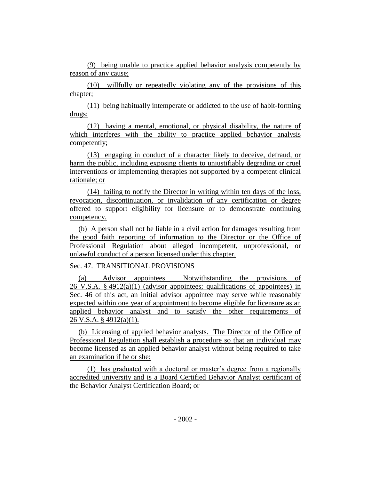(9) being unable to practice applied behavior analysis competently by reason of any cause;

(10) willfully or repeatedly violating any of the provisions of this chapter;

(11) being habitually intemperate or addicted to the use of habit-forming drugs;

(12) having a mental, emotional, or physical disability, the nature of which interferes with the ability to practice applied behavior analysis competently;

(13) engaging in conduct of a character likely to deceive, defraud, or harm the public, including exposing clients to unjustifiably degrading or cruel interventions or implementing therapies not supported by a competent clinical rationale; or

(14) failing to notify the Director in writing within ten days of the loss, revocation, discontinuation, or invalidation of any certification or degree offered to support eligibility for licensure or to demonstrate continuing competency.

(b) A person shall not be liable in a civil action for damages resulting from the good faith reporting of information to the Director or the Office of Professional Regulation about alleged incompetent, unprofessional, or unlawful conduct of a person licensed under this chapter.

#### Sec. 47. TRANSITIONAL PROVISIONS

(a) Advisor appointees. Notwithstanding the provisions of 26 V.S.A.  $\S 4912(a)(1)$  (advisor appointees; qualifications of appointees) in Sec. 46 of this act, an initial advisor appointee may serve while reasonably expected within one year of appointment to become eligible for licensure as an applied behavior analyst and to satisfy the other requirements of 26 V.S.A. § 4912(a)(1).

(b) Licensing of applied behavior analysts. The Director of the Office of Professional Regulation shall establish a procedure so that an individual may become licensed as an applied behavior analyst without being required to take an examination if he or she:

(1) has graduated with a doctoral or master's degree from a regionally accredited university and is a Board Certified Behavior Analyst certificant of the Behavior Analyst Certification Board; or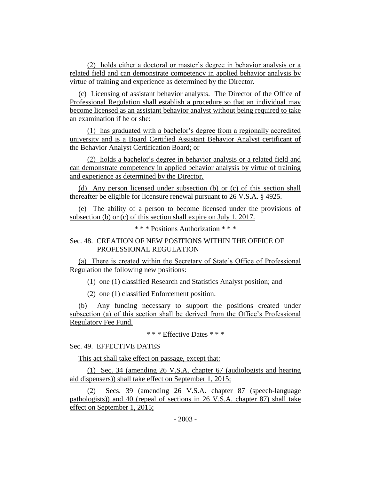(2) holds either a doctoral or master's degree in behavior analysis or a related field and can demonstrate competency in applied behavior analysis by virtue of training and experience as determined by the Director.

(c) Licensing of assistant behavior analysts. The Director of the Office of Professional Regulation shall establish a procedure so that an individual may become licensed as an assistant behavior analyst without being required to take an examination if he or she:

(1) has graduated with a bachelor's degree from a regionally accredited university and is a Board Certified Assistant Behavior Analyst certificant of the Behavior Analyst Certification Board; or

(2) holds a bachelor's degree in behavior analysis or a related field and can demonstrate competency in applied behavior analysis by virtue of training and experience as determined by the Director.

(d) Any person licensed under subsection (b) or (c) of this section shall thereafter be eligible for licensure renewal pursuant to 26 V.S.A. § 4925.

(e) The ability of a person to become licensed under the provisions of subsection (b) or (c) of this section shall expire on July 1, 2017.

\* \* \* Positions Authorization \* \* \*

# Sec. 48. CREATION OF NEW POSITIONS WITHIN THE OFFICE OF PROFESSIONAL REGULATION

(a) There is created within the Secretary of State's Office of Professional Regulation the following new positions:

(1) one (1) classified Research and Statistics Analyst position; and

(2) one (1) classified Enforcement position.

(b) Any funding necessary to support the positions created under subsection (a) of this section shall be derived from the Office's Professional Regulatory Fee Fund.

\* \* \* Effective Dates \* \* \*

## Sec. 49. EFFECTIVE DATES

This act shall take effect on passage, except that:

(1) Sec. 34 (amending 26 V.S.A. chapter 67 (audiologists and hearing aid dispensers)) shall take effect on September 1, 2015;

(2) Secs. 39 (amending 26 V.S.A. chapter 87 (speech-language pathologists)) and 40 (repeal of sections in 26 V.S.A. chapter 87) shall take effect on September 1, 2015;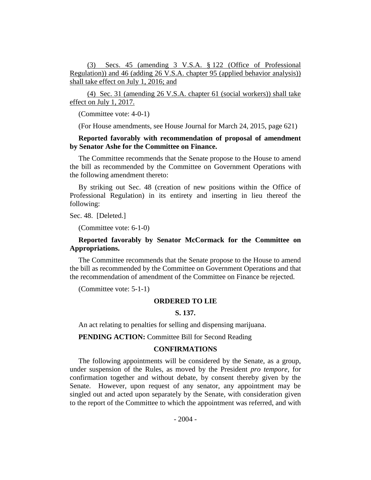(3) Secs. 45 (amending 3 V.S.A. § 122 (Office of Professional Regulation)) and 46 (adding 26 V.S.A. chapter 95 (applied behavior analysis)) shall take effect on July 1, 2016; and

(4) Sec. 31 (amending 26 V.S.A. chapter 61 (social workers)) shall take effect on July 1, 2017.

(Committee vote: 4-0-1)

(For House amendments, see House Journal for March 24, 2015, page 621)

# **Reported favorably with recommendation of proposal of amendment by Senator Ashe for the Committee on Finance.**

The Committee recommends that the Senate propose to the House to amend the bill as recommended by the Committee on Government Operations with the following amendment thereto:

By striking out Sec. 48 (creation of new positions within the Office of Professional Regulation) in its entirety and inserting in lieu thereof the following:

Sec. 48. [Deleted.]

(Committee vote: 6-1-0)

# **Reported favorably by Senator McCormack for the Committee on Appropriations.**

The Committee recommends that the Senate propose to the House to amend the bill as recommended by the Committee on Government Operations and that the recommendation of amendment of the Committee on Finance be rejected.

(Committee vote: 5-1-1)

#### **ORDERED TO LIE**

#### **S. 137.**

An act relating to penalties for selling and dispensing marijuana.

**PENDING ACTION:** Committee Bill for Second Reading

#### **CONFIRMATIONS**

The following appointments will be considered by the Senate, as a group, under suspension of the Rules, as moved by the President *pro tempore,* for confirmation together and without debate, by consent thereby given by the Senate. However, upon request of any senator, any appointment may be singled out and acted upon separately by the Senate, with consideration given to the report of the Committee to which the appointment was referred, and with